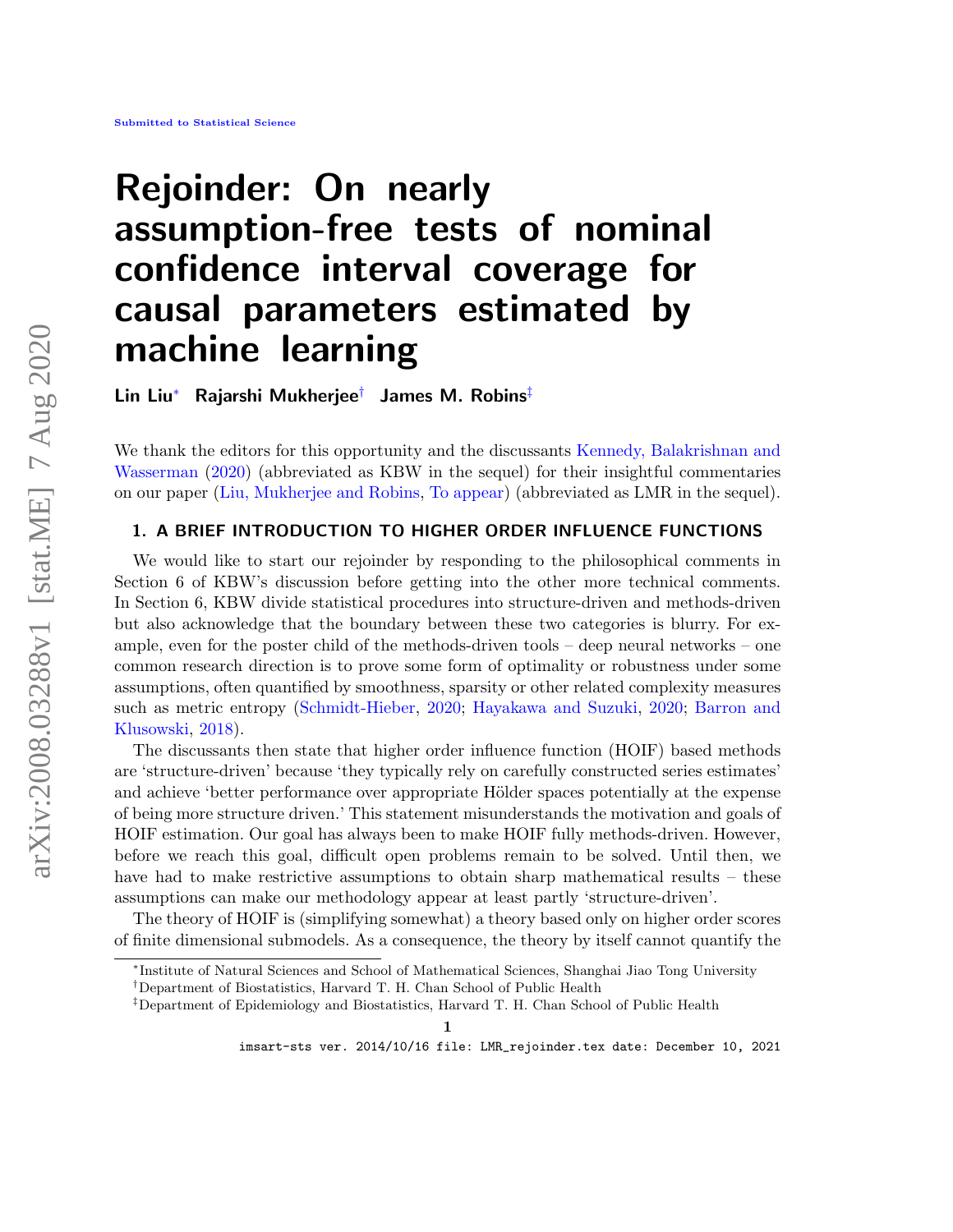# <span id="page-0-4"></span>Rejoinder: On nearly assumption-free tests of nominal confidence interval coverage for causal parameters estimated by machine learning

Lin Liu[∗](#page-0-0) Rajarshi Mukherjee[†](#page-0-1) James M. Robins[‡](#page-0-2)

We thank the editors for this opportunity and the discussants [Kennedy, Balakrishnan and](#page-15-0) [Wasserman](#page-15-0) [\(2020\)](#page-15-0) (abbreviated as KBW in the sequel) for their insightful commentaries on our paper [\(Liu, Mukherjee and Robins,](#page-15-1) [To appear\)](#page-15-1) (abbreviated as LMR in the sequel).

## <span id="page-0-3"></span>1. A BRIEF INTRODUCTION TO HIGHER ORDER INFLUENCE FUNCTIONS

We would like to start our rejoinder by responding to the philosophical comments in Section 6 of KBW's discussion before getting into the other more technical comments. In Section 6, KBW divide statistical procedures into structure-driven and methods-driven but also acknowledge that the boundary between these two categories is blurry. For example, even for the poster child of the methods-driven tools – deep neural networks – one common research direction is to prove some form of optimality or robustness under some assumptions, often quantified by smoothness, sparsity or other related complexity measures such as metric entropy [\(Schmidt-Hieber,](#page-15-2) [2020;](#page-15-2) [Hayakawa and Suzuki,](#page-15-3) [2020;](#page-15-3) [Barron and](#page-14-0) [Klusowski,](#page-14-0) [2018\)](#page-14-0).

The discussants then state that higher order influence function (HOIF) based methods are 'structure-driven' because 'they typically rely on carefully constructed series estimates' and achieve 'better performance over appropriate Hölder spaces potentially at the expense of being more structure driven.' This statement misunderstands the motivation and goals of HOIF estimation. Our goal has always been to make HOIF fully methods-driven. However, before we reach this goal, difficult open problems remain to be solved. Until then, we have had to make restrictive assumptions to obtain sharp mathematical results – these assumptions can make our methodology appear at least partly 'structure-driven'.

The theory of HOIF is (simplifying somewhat) a theory based only on higher order scores of finite dimensional submodels. As a consequence, the theory by itself cannot quantify the

<span id="page-0-0"></span><sup>∗</sup> Institute of Natural Sciences and School of Mathematical Sciences, Shanghai Jiao Tong University

<span id="page-0-1"></span><sup>†</sup>Department of Biostatistics, Harvard T. H. Chan School of Public Health

<span id="page-0-2"></span><sup>‡</sup>Department of Epidemiology and Biostatistics, Harvard T. H. Chan School of Public Health

imsart-sts ver. 2014/10/16 file: LMR\_rejoinder.tex date: December 10, 2021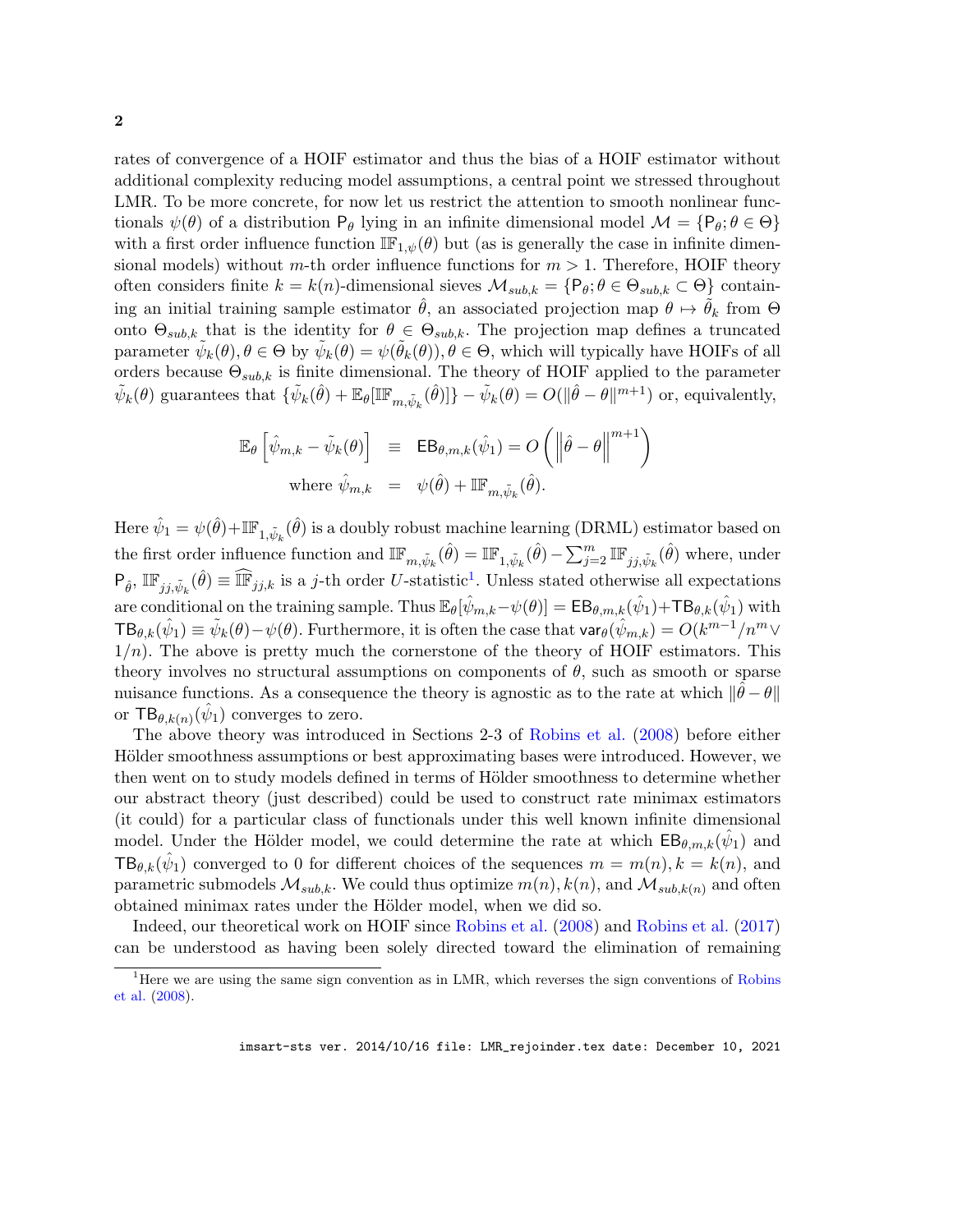<span id="page-1-1"></span>rates of convergence of a HOIF estimator and thus the bias of a HOIF estimator without additional complexity reducing model assumptions, a central point we stressed throughout LMR. To be more concrete, for now let us restrict the attention to smooth nonlinear functionals  $\psi(\theta)$  of a distribution  $P_{\theta}$  lying in an infinite dimensional model  $\mathcal{M} = \{P_{\theta}; \theta \in \Theta\}$ with a first order influence function  $\mathbb{IF}_{1,\psi}(\theta)$  but (as is generally the case in infinite dimensional models) without m-th order influence functions for  $m > 1$ . Therefore, HOIF theory often considers finite  $k = k(n)$ -dimensional sieves  $\mathcal{M}_{sub,k} = \{P_\theta: \theta \in \Theta_{sub,k} \subset \Theta\}$  containing an initial training sample estimator  $\hat{\theta}$ , an associated projection map  $\theta \mapsto \theta_k$  from  $\Theta$ onto  $\Theta_{sub,k}$  that is the identity for  $\theta \in \Theta_{sub,k}$ . The projection map defines a truncated parameter  $\tilde{\psi}_k(\theta), \theta \in \Theta$  by  $\tilde{\psi}_k(\theta) = \psi(\tilde{\theta}_k(\theta)), \theta \in \Theta$ , which will typically have HOIFs of all orders because  $\Theta_{sub,k}$  is finite dimensional. The theory of HOIF applied to the parameter  $\tilde{\psi}_k(\theta)$  guarantees that  $\{\tilde{\psi}_k(\hat{\theta}) + \mathbb{E}_{\theta}[\mathbb{IF}_{m,\tilde{\psi}_k}(\hat{\theta})]\} - \tilde{\psi}_k(\theta) = O(||\hat{\theta} - \theta||^{m+1})$  or, equivalently,

$$
\mathbb{E}_{\theta} \left[ \hat{\psi}_{m,k} - \tilde{\psi}_k(\theta) \right] \equiv \mathbb{E} \mathsf{B}_{\theta,m,k}(\hat{\psi}_1) = O \left( \left\| \hat{\theta} - \theta \right\|^{m+1} \right)
$$
  
where  $\hat{\psi}_{m,k} = \psi(\hat{\theta}) + \mathbb{I} \mathbb{F}_{m,\tilde{\psi}_k}(\hat{\theta}).$ 

Here  $\hat{\psi}_1 = \psi(\hat{\theta}) + \mathbb{IF}_{1,\tilde{\psi}_k}(\hat{\theta})$  is a doubly robust machine learning (DRML) estimator based on the first order influence function and  $\mathbb{IF}_{m,\tilde{\psi}_k}(\hat{\theta}) = \mathbb{IF}_{1,\tilde{\psi}_k}(\hat{\theta}) - \sum_{j=2}^m \mathbb{IF}_{jj,\tilde{\psi}_k}(\hat{\theta})$  where, under  $P_{\hat{\theta}}, \mathbb{IF}_{jj,\tilde{\psi}_k}(\hat{\theta}) \equiv \widehat{\mathbb{IF}}_{jj,k}$  is a j-th order U-statistic<sup>[1](#page-1-0)</sup>. Unless stated otherwise all expectations are conditional on the training sample. Thus  $\mathbb{E}_{\theta}[\hat{\psi}_{m,k} - \psi(\theta)] = \mathsf{EB}_{\theta,m,k}(\hat{\psi}_1) + \mathsf{TB}_{\theta,k}(\hat{\psi}_1)$  with  $\mathsf{TB}_{\theta,k}(\hat{\psi}_1) \equiv \tilde{\psi}_k(\theta) - \psi(\theta)$ . Furthermore, it is often the case that  $\mathsf{var}_\theta(\hat{\psi}_{m,k}) = O(k^{m-1}/n^m \vee n^m)$  $1/n$ ). The above is pretty much the cornerstone of the theory of HOIF estimators. This theory involves no structural assumptions on components of  $\theta$ , such as smooth or sparse nuisance functions. As a consequence the theory is agnostic as to the rate at which  $\|\hat{\theta} - \theta\|$ or  $TB_{\theta,k(n)}(\hat{\psi}_1)$  converges to zero.

The above theory was introduced in Sections 2-3 of [Robins et al.](#page-15-4) [\(2008\)](#page-15-4) before either Hölder smoothness assumptions or best approximating bases were introduced. However, we then went on to study models defined in terms of Hölder smoothness to determine whether our abstract theory (just described) could be used to construct rate minimax estimators (it could) for a particular class of functionals under this well known infinite dimensional model. Under the Hölder model, we could determine the rate at which  $\text{EB}_{\theta,m,k}(\hat{\psi}_1)$  and  $TB_{\theta,k}(\hat{\psi}_1)$  converged to 0 for different choices of the sequences  $m = m(n), k = k(n)$ , and parametric submodels  $\mathcal{M}_{sub,k}$ . We could thus optimize  $m(n)$ ,  $k(n)$ , and  $\mathcal{M}_{sub,k(n)}$  and often obtained minimax rates under the Hölder model, when we did so.

Indeed, our theoretical work on HOIF since [Robins et al.](#page-15-4) [\(2008\)](#page-15-4) and [Robins et al.](#page-15-5) [\(2017\)](#page-15-5) can be understood as having been solely directed toward the elimination of remaining

<span id="page-1-0"></span><sup>&</sup>lt;sup>1</sup>Here we are using the same sign convention as in LMR, which reverses the sign conventions of [Robins](#page-15-4) [et al.](#page-15-4) [\(2008\)](#page-15-4).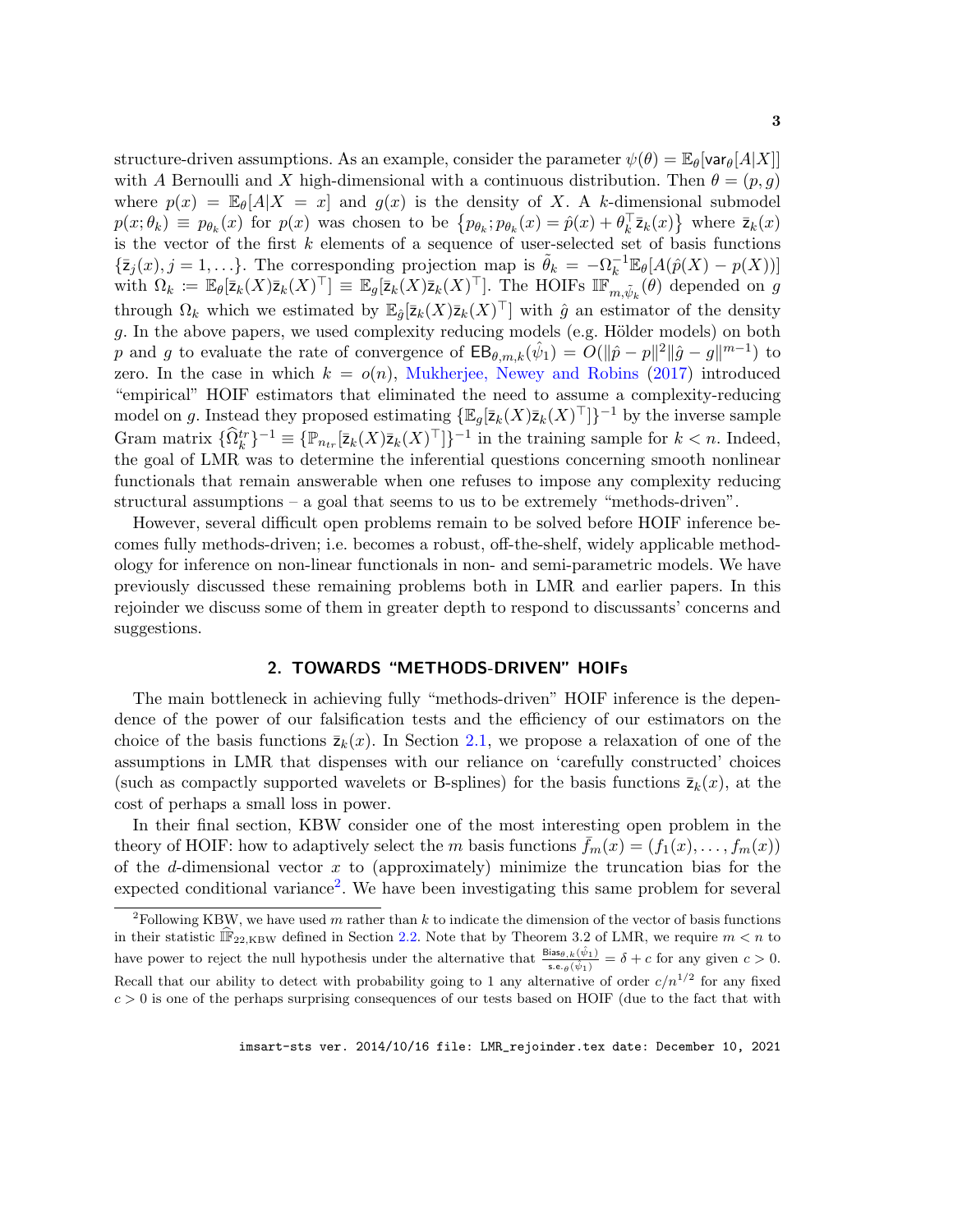<span id="page-2-2"></span>structure-driven assumptions. As an example, consider the parameter  $\psi(\theta) = \mathbb{E}_{\theta}[\text{var}_{\theta}[A|X]]$ with A Bernoulli and X high-dimensional with a continuous distribution. Then  $\theta = (p, q)$ where  $p(x) = \mathbb{E}_{\theta}[A|X = x]$  and  $g(x)$  is the density of X. A k-dimensional submodel  $p(x; \theta_k) \equiv p_{\theta_k}(x)$  for  $p(x)$  was chosen to be  $\{p_{\theta_k}; p_{\theta_k}(x) = \hat{p}(x) + \theta_k^{\top} \bar{z}_k(x)\}$  where  $\bar{z}_k(x)$ is the vector of the first  $k$  elements of a sequence of user-selected set of basis functions  $\{\bar{z}_j(x), j = 1, \ldots\}$ . The corresponding projection map is  $\tilde{\theta}_k = -\Omega_k^{-1} \mathbb{E}_{\theta}[A(\hat{p}(X) - p(X))]$ with  $\Omega_k := \mathbb{E}_{\theta}[\bar{z}_k(X)\bar{z}_k(X)^{\top}] \equiv \mathbb{E}_{g}[\bar{z}_k(X)\bar{z}_k(X)^{\top}]$ . The HOIFs  $\mathbb{IF}_{m,\tilde{\psi}_k}^{\infty}(\theta)$  depended on g through  $\Omega_k$  which we estimated by  $\mathbb{E}_{\hat{g}}[\bar{z}_k(X)\bar{z}_k(X)^{\top}]$  with  $\hat{g}$  an estimator of the density  $g$ . In the above papers, we used complexity reducing models (e.g. Hölder models) on both p and g to evaluate the rate of convergence of  $\text{EB}_{\theta,m,k}(\hat{\psi}_1) = O(\|\hat{p}-p\|^2 \|\hat{g}-g\|^{m-1})$  to zero. In the case in which  $k = o(n)$ , [Mukherjee, Newey and Robins](#page-15-6) [\(2017\)](#page-15-6) introduced "empirical" HOIF estimators that eliminated the need to assume a complexity-reducing model on g. Instead they proposed estimating  $\{\mathbb{E}_g[\bar{z}_k(X)\bar{z}_k(X)^{\top}]\}^{-1}$  by the inverse sample Gram matrix  $\{\widehat{\Omega}_k^{tr}\}^{-1} \equiv \{\mathbb{P}_{n_{tr}}[\bar{z}_k(X)\bar{z}_k(X)^{\top}]\}^{-1}$  in the training sample for  $k < n$ . Indeed, the goal of LMR was to determine the inferential questions concerning smooth nonlinear functionals that remain answerable when one refuses to impose any complexity reducing structural assumptions – a goal that seems to us to be extremely "methods-driven".

However, several difficult open problems remain to be solved before HOIF inference becomes fully methods-driven; i.e. becomes a robust, off-the-shelf, widely applicable methodology for inference on non-linear functionals in non- and semi-parametric models. We have previously discussed these remaining problems both in LMR and earlier papers. In this rejoinder we discuss some of them in greater depth to respond to discussants' concerns and suggestions.

## 2. TOWARDS "METHODS-DRIVEN" HOIFs

<span id="page-2-1"></span>The main bottleneck in achieving fully "methods-driven" HOIF inference is the dependence of the power of our falsification tests and the efficiency of our estimators on the choice of the basis functions  $\bar{z}_k(x)$ . In Section [2.1,](#page-3-0) we propose a relaxation of one of the assumptions in LMR that dispenses with our reliance on 'carefully constructed' choices (such as compactly supported wavelets or B-splines) for the basis functions  $\bar{z}_k(x)$ , at the cost of perhaps a small loss in power.

In their final section, KBW consider one of the most interesting open problem in the theory of HOIF: how to adaptively select the m basis functions  $f_m(x) = (f_1(x), \ldots, f_m(x))$ of the d-dimensional vector  $x$  to (approximately) minimize the truncation bias for the expected conditional variance<sup>[2](#page-2-0)</sup>. We have been investigating this same problem for several

<span id="page-2-0"></span><sup>&</sup>lt;sup>2</sup>Following KBW, we have used m rather than k to indicate the dimension of the vector of basis functions in their statistic  $\hat{\mathbb{F}}_{22,\text{KBW}}$  defined in Section [2.2.](#page-4-0) Note that by Theorem 3.2 of LMR, we require  $m < n$  to have power to reject the null hypothesis under the alternative that  $\frac{\text{Bias}_{\theta,k}(\hat{\psi}_1)}{\text{s.e.}_{\theta}(\hat{\psi}_1)} = \delta + c$  for any given  $c > 0$ . Recall that our ability to detect with probability going to 1 any alternative of order  $c/n^{1/2}$  for any fixed  $c > 0$  is one of the perhaps surprising consequences of our tests based on HOIF (due to the fact that with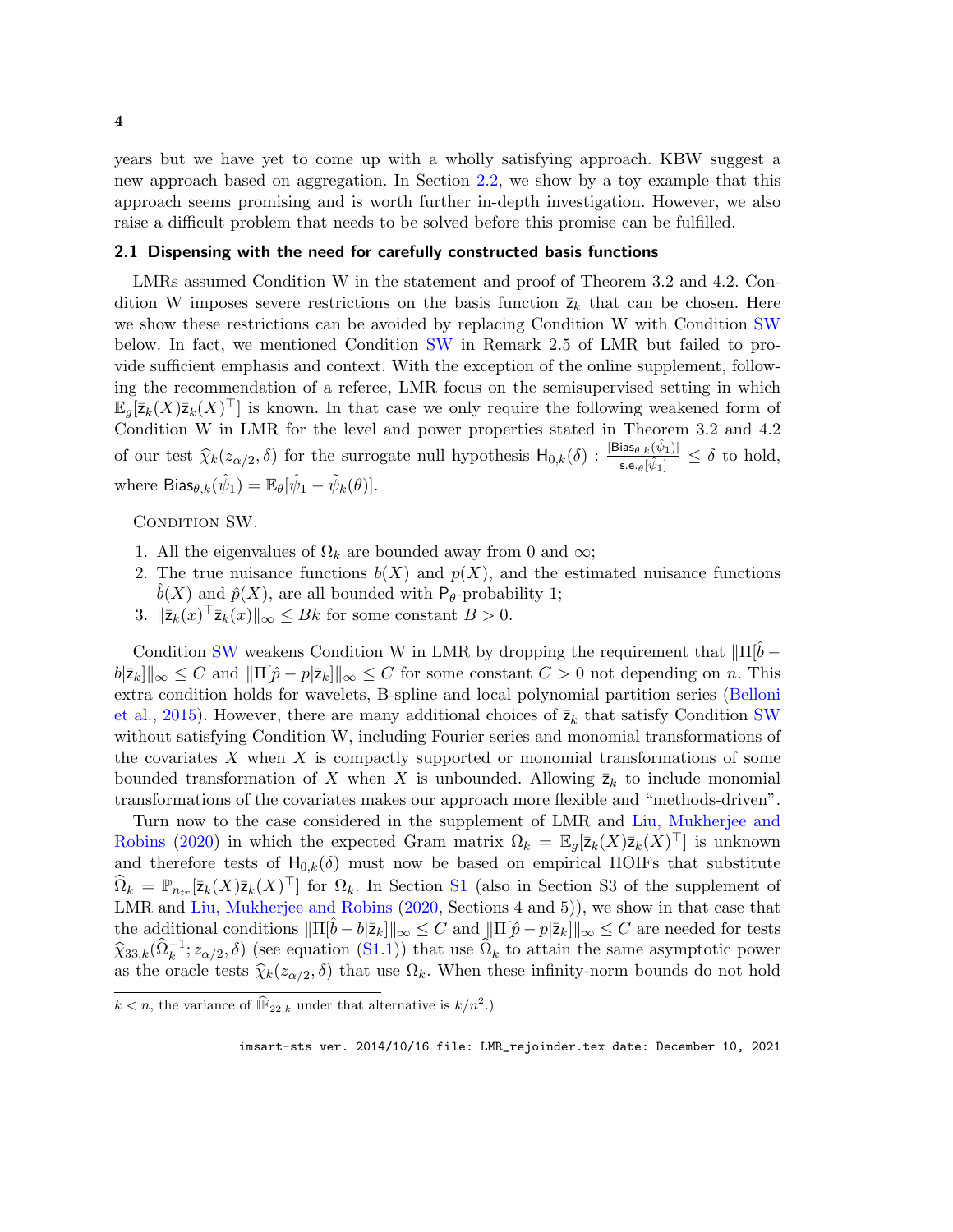<span id="page-3-2"></span>years but we have yet to come up with a wholly satisfying approach. KBW suggest a new approach based on aggregation. In Section [2.2,](#page-4-0) we show by a toy example that this approach seems promising and is worth further in-depth investigation. However, we also raise a difficult problem that needs to be solved before this promise can be fulfilled.

#### <span id="page-3-0"></span>2.1 Dispensing with the need for carefully constructed basis functions

LMRs assumed Condition W in the statement and proof of Theorem 3.2 and 4.2. Condition W imposes severe restrictions on the basis function  $\bar{z}_k$  that can be chosen. Here we show these restrictions can be avoided by replacing Condition W with Condition [SW](#page-3-1) below. In fact, we mentioned Condition [SW](#page-3-1) in Remark 2.5 of LMR but failed to provide sufficient emphasis and context. With the exception of the online supplement, following the recommendation of a referee, LMR focus on the semisupervised setting in which  $\mathbb{E}_g[\bar{z}_k(X)\bar{z}_k(X)^\top]$  is known. In that case we only require the following weakened form of Condition W in LMR for the level and power properties stated in Theorem 3.2 and 4.2 of our test  $\hat{\chi}_k(z_{\alpha/2},\delta)$  for the surrogate null hypothesis  $H_{0,k}(\delta)$ :  $\frac{|\text{Bias}_{\theta,k}(\hat{\psi}_1)|}{\text{s.e.}_{\theta}[\hat{\psi}_1]}$  $\frac{\text{diss}_{\theta,k}(\psi_1)}{\text{s.e.}_{\theta}[\hat{\psi}_1]} \leq \delta$  to hold, where  $\mathsf{Bias}_{\theta, k}(\hat{\psi}_1) = \mathbb{E}_{\theta}[\hat{\psi}_1 - \tilde{\psi}_k(\theta)].$ 

<span id="page-3-1"></span>CONDITION SW.

- 1. All the eigenvalues of  $\Omega_k$  are bounded away from 0 and  $\infty$ ;
- 2. The true nuisance functions  $b(X)$  and  $p(X)$ , and the estimated nuisance functions  $b(X)$  and  $\hat{p}(X)$ , are all bounded with P<sub>θ</sub>-probability 1;
- 3.  $\|\bar{\mathsf{z}}_k(x)^\top \bar{\mathsf{z}}_k(x)\|_{\infty} \leq Bk$  for some constant  $B > 0$ .

Condition [SW](#page-3-1) weakens Condition W in LMR by dropping the requirement that  $\|\Pi[b-\]$  $||\bar{z}_k||_{\infty} \leq C$  and  $||\Pi[\hat{p} - p|\bar{z}_k||_{\infty} \leq C$  for some constant  $C > 0$  not depending on n. This extra condition holds for wavelets, B-spline and local polynomial partition series [\(Belloni](#page-14-1) [et al.,](#page-14-1) [2015\)](#page-14-1). However, there are many additional choices of  $\bar{z}_k$  that satisfy Condition [SW](#page-3-1) without satisfying Condition W, including Fourier series and monomial transformations of the covariates  $X$  when  $X$  is compactly supported or monomial transformations of some bounded transformation of X when X is unbounded. Allowing  $\bar{z}_k$  to include monomial transformations of the covariates makes our approach more flexible and "methods-driven".

Turn now to the case considered in the supplement of LMR and [Liu, Mukherjee and](#page-15-7) [Robins](#page-15-7) [\(2020\)](#page-15-7) in which the expected Gram matrix  $\Omega_k = \mathbb{E}_g[\bar{z}_k(X)\bar{z}_k(X)^{\top}]$  is unknown and therefore tests of  $H_{0,k}(\delta)$  must now be based on empirical HOIFs that substitute  $\widehat{\Omega}_k = \mathbb{P}_{n_{tr}}[\bar{z}_k(X)\bar{z}_k(X)^\top]$  for  $\Omega_k$ . In Section [S1](#page-0-3) (also in Section S3 of the supplement of LMR and [Liu, Mukherjee and Robins](#page-15-7) [\(2020,](#page-15-7) Sections 4 and 5)), we show in that case that the additional conditions  $\|\Pi[b-b|\bar{z}_k]\|_{\infty} \leq C$  and  $\|\Pi[\hat{p}-p|\bar{z}_k]\|_{\infty} \leq C$  are needed for tests  $\hat{\chi}_{33,k}(\hat{\Omega}_k^{-1}; z_{\alpha/2}, \delta)$  (see equation [\(S1.1\)](#page-16-0)) that use  $\hat{\Omega}_k$  to attain the same asymptotic power as the oracle tests  $\hat{\chi}_k(z_{\alpha/2}, \delta)$  that use  $\Omega_k$ . When these infinity-norm bounds do not hold

 $k < n$ , the variance of  $\widehat{\mathbb{IF}}_{22,k}$  under that alternative is  $k/n^2$ .)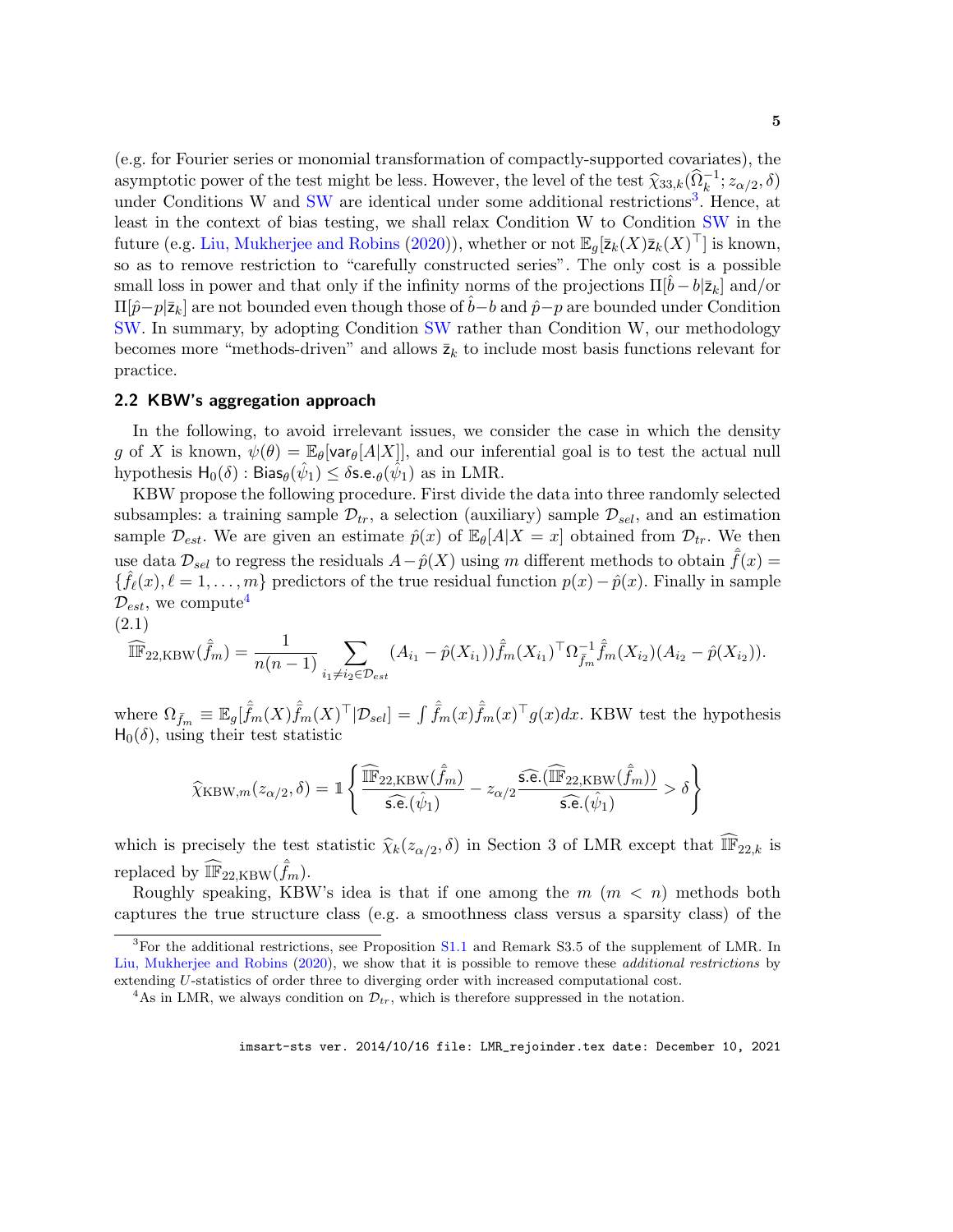<span id="page-4-4"></span>(e.g. for Fourier series or monomial transformation of compactly-supported covariates), the asymptotic power of the test might be less. However, the level of the test  $\hat{\chi}_{33,k}(\hat{\Omega}_k^{-1}; z_{\alpha/2}, \delta)$ <br>under Conditions W and SW are identical under some additional restrictions<sup>3</sup>. Honee, at under Conditions W and [SW](#page-3-1) are identical under some additional restrictions<sup>[3](#page-4-1)</sup>. Hence, at least in the context of bias testing, we shall relax Condition W to Condition [SW](#page-3-1) in the future (e.g. [Liu, Mukherjee and Robins](#page-15-7) [\(2020\)](#page-15-7)), whether or not  $\mathbb{E}_g[\bar{z}_k(X)\bar{z}_k(X)^\top]$  is known, so as to remove restriction to "carefully constructed series". The only cost is a possible small loss in power and that only if the infinity norms of the projections  $\Pi[b-b|\bar{z}_k]$  and/or  $\Pi[\hat{p}-p|\bar{\mathsf{z}}_k]$  are not bounded even though those of  $\hat{b}-b$  and  $\hat{p}-p$  are bounded under Condition [SW.](#page-3-1) In summary, by adopting Condition [SW](#page-3-1) rather than Condition W, our methodology becomes more "methods-driven" and allows  $\bar{z}_k$  to include most basis functions relevant for practice.

### <span id="page-4-0"></span>2.2 KBW's aggregation approach

In the following, to avoid irrelevant issues, we consider the case in which the density g of X is known,  $\psi(\theta) = \mathbb{E}_{\theta}[\text{var}_{\theta}[A|X]],$  and our inferential goal is to test the actual null hypothesis  $H_0(\delta)$ : Bias $_\theta(\hat\psi_1) \leq \delta$ s.e. $_\theta(\hat{\hat\psi_1})$  as in LMR.

KBW propose the following procedure. First divide the data into three randomly selected subsamples: a training sample  $\mathcal{D}_{tr}$ , a selection (auxiliary) sample  $\mathcal{D}_{sel}$ , and an estimation sample  $\mathcal{D}_{est}$ . We are given an estimate  $\hat{p}(x)$  of  $\mathbb{E}_{\theta}[A|X=x]$  obtained from  $\mathcal{D}_{tr}$ . We then use data  $\mathcal{D}_{sel}$  to regress the residuals  $A-p(X)$  using m different methods to obtain  $\bar{f}(x)$  =  $\{\hat{f}_{\ell}(x), \ell = 1, \ldots, m\}$  predictors of the true residual function  $p(x) - \hat{p}(x)$ . Finally in sample  $\mathcal{D}_{est}$ , we compute<sup>[4](#page-4-2)</sup>

$$
\begin{array}{c}\n(2.1) \\
\widehat{=} \\
\end{array}
$$

<span id="page-4-3"></span>
$$
\widehat{\mathbb{IF}}_{22,\text{KBW}}(\hat{f}_m) = \frac{1}{n(n-1)} \sum_{i_1 \neq i_2 \in \mathcal{D}_{est}} (A_{i_1} - \hat{p}(X_{i_1})) \hat{f}_m(X_{i_1})^\top \Omega_{\bar{f}_m}^{-1} \hat{f}_m(X_{i_2}) (A_{i_2} - \hat{p}(X_{i_2})).
$$

where  $\Omega_{\bar{f}_m} \equiv \mathbb{E}_g[\hat{f}_m(X)\hat{f}_m(X)^\top | \mathcal{D}_{sel}] = \int \hat{f}_m(x)\hat{f}_m(x)^\top g(x)dx$ . KBW test the hypothesis  $H_0(\delta)$ , using their test statistic

$$
\widehat{\chi}_{\mathrm{KBW},m}(z_{\alpha/2},\delta) = \mathbb{1}\left\{\frac{\widehat{\mathbb{IF}}_{22,\mathrm{KBW}}(\hat{\bar{f}}_m)}{\widehat{\mathsf{s.e.}}(\hat{\psi}_1)} - z_{\alpha/2}\frac{\widehat{\mathsf{s.e.}}(\widehat{\mathbb{IF}}_{22,\mathrm{KBW}}(\hat{\bar{f}}_m))}{\widehat{\mathsf{s.e.}}(\hat{\psi}_1)} > \delta\right\}
$$

which is precisely the test statistic  $\hat{\chi}_k(z_{\alpha/2}, \delta)$  in Section 3 of LMR except that  $\widehat{\mathbb{IF}}_{22,k}$  is replaced by  $\widehat{\mathbb{IF}}_{22,\text{KBW}}(\hat{f}_m)$ .

Roughly speaking, KBW's idea is that if one among the  $m$   $(m < n)$  methods both captures the true structure class (e.g. a smoothness class versus a sparsity class) of the

<span id="page-4-1"></span> ${}^{3}$ For the additional restrictions, see Proposition [S1.1](#page-16-1) and Remark S3.5 of the supplement of LMR. In [Liu, Mukherjee and Robins](#page-15-7) [\(2020\)](#page-15-7), we show that it is possible to remove these *additional restrictions* by extending U-statistics of order three to diverging order with increased computational cost.

<span id="page-4-2"></span><sup>&</sup>lt;sup>4</sup>As in LMR, we always condition on  $\mathcal{D}_{tr}$ , which is therefore suppressed in the notation.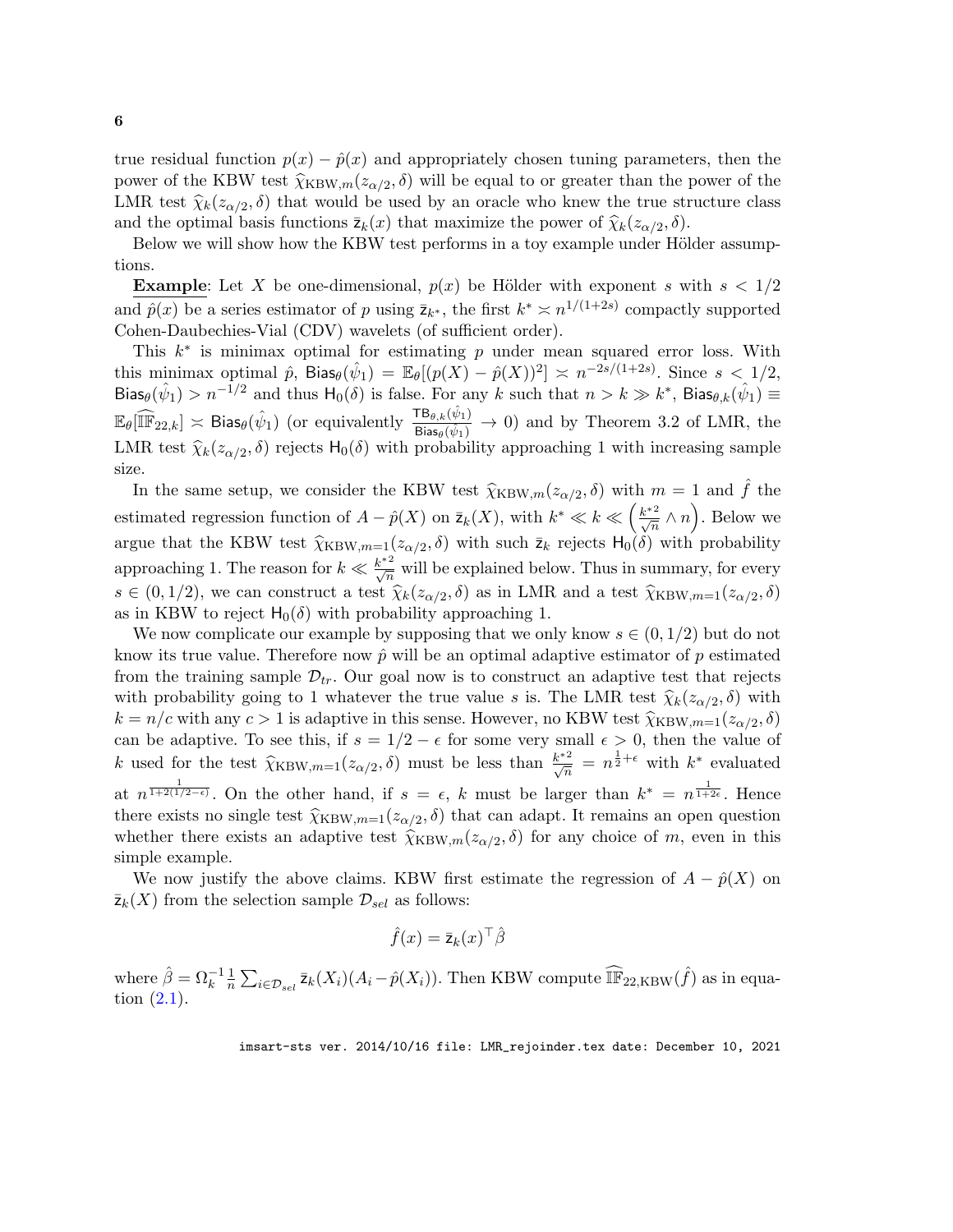true residual function  $p(x) - \hat{p}(x)$  and appropriately chosen tuning parameters, then the power of the KBW test  $\hat{\chi}_{\text{KBW},m}(z_{\alpha/2},\delta)$  will be equal to or greater than the power of the<br>LMB test  $\hat{\chi}_{\alpha}(z_{\alpha},\delta)$  that would be used by an exacle who know the true structure class LMR test  $\hat{\chi}_k(z_{\alpha/2}, \delta)$  that would be used by an oracle who knew the true structure class and the optimal basis functions  $\bar{z}_k(x)$  that maximize the power of  $\hat{\chi}_k(z_{\alpha/2}, \delta)$ .<br>Below we will show how the KBW test performs in a toy example under Höl-

Below we will show how the KBW test performs in a toy example under Hölder assumptions.

**Example:** Let X be one-dimensional,  $p(x)$  be Hölder with exponent s with  $s < 1/2$ and  $\hat{p}(x)$  be a series estimator of p using  $\bar{z}_{k^*}$ , the first  $k^* \approx n^{1/(1+2s)}$  compactly supported Cohen-Daubechies-Vial (CDV) wavelets (of sufficient order).

This  $k^*$  is minimax optimal for estimating p under mean squared error loss. With this minimax optimal  $\hat{p}$ , Bias $_{\theta}(\hat{\psi}_1) = \mathbb{E}_{\theta}[(p(X) - \hat{p}(X))^2] \approx n^{-2s/(1+2s)}$ . Since  $s < 1/2$ , Bias $\theta(\hat{\psi}_1) > n^{-1/2}$  and thus  $H_0(\delta)$  is false. For any k such that  $n > k \gg k^*$ , Bias $\theta_k(\hat{\psi}_1) \equiv$  $\mathbb{E}_{\theta}[\widehat{\mathbb{IF}}_{22,k}] \asymp \mathsf{Bias}_{\theta}(\hat{\psi}_1)$  (or equivalently  $\frac{\mathsf{TB}_{\theta,k}(\hat{\psi}_1)}{\mathsf{Bias}_{\theta}(\hat{\psi}_1)}$  $\frac{\text{IB}_{\theta,k}(\psi_1)}{\text{Bias}_{\theta}(\hat{\psi}_1)} \to 0$  and by Theorem 3.2 of LMR, the LMR test  $\hat{\chi}_k(z_{\alpha/2}, \delta)$  rejects  $H_0(\delta)$  with probability approaching 1 with increasing sample size.

In the same setup, we consider the KBW test  $\hat{\chi}_{\text{KBW},m}(z_{\alpha/2},\delta)$  with  $m=1$  and  $\hat{f}$  the estimated regression function of  $A - \hat{p}(X)$  on  $\bar{z}_k(X)$ , with  $k^* \ll k \ll \left(\frac{k^{*2}}{\sqrt{n}} \wedge n\right)$ . Below we argue that the KBW test  $\widehat{\chi}_{\text{KBW},m=1}(z_{\alpha/2},\delta)$  with such  $\bar{z}_k$  rejects  $H_0(\delta)$  with probability approaching 1. The reason for  $k \ll \frac{k^{*2}}{\sqrt{n}}$  will be explained below. Thus in summary, for every  $s \in (0, 1/2)$ , we can construct a test  $\hat{\chi}_k(z_{\alpha/2}, \delta)$  as in LMR and a test  $\hat{\chi}_{\text{KBW},m=1}(z_{\alpha/2}, \delta)$ <br>as in KBW to reject H  $(\delta)$  with probability approaching 1 as in KBW to reject  $H_0(\delta)$  with probability approaching 1.

We now complicate our example by supposing that we only know  $s \in (0, 1/2)$  but do not know its true value. Therefore now  $\hat{p}$  will be an optimal adaptive estimator of p estimated from the training sample  $\mathcal{D}_{tr}$ . Our goal now is to construct an adaptive test that rejects with probability going to 1 whatever the true value s is. The LMR test  $\hat{\chi}_k(z_{\alpha/2}, \delta)$  with  $k = n / \epsilon$  with any  $\epsilon > 1$  is adoptive in this sonso. However, no KBW test  $\hat{\chi}_{k}(z_{\alpha/2}, \delta)$  $k = n/c$  with any  $c > 1$  is adaptive in this sense. However, no KBW test  $\hat{\chi}_{\text{KBW},m=1}(z_{\alpha/2},\delta)$ can be adaptive. To see this, if  $s = 1/2 - \epsilon$  for some very small  $\epsilon > 0$ , then the value of k used for the test  $\hat{\chi}_{\text{KBW},m=1}(z_{\alpha/2},\delta)$  must be less than  $\frac{k^{*2}}{\sqrt{n}} = n^{\frac{1}{2}+\epsilon}$  with  $k^*$  evaluated at  $n^{\frac{1}{1+2(1/2-\epsilon)}}$ . On the other hand, if  $s = \epsilon$ , k must be larger than  $k^* = n^{\frac{1}{1+2\epsilon}}$ . Hence there exists no single test  $\widehat{\chi}_{\text{KBW},m=1}(z_{\alpha/2},\delta)$  that can adapt. It remains an open question<br>whether there exists an adaptive test  $\widehat{\chi}_{\text{xxxx}}$  ( $z \in \widehat{\delta}$ ) for any choice of m aver in this whether there exists an adaptive test  $\hat{\chi}_{\text{KBW},m}(z_{\alpha/2},\delta)$  for any choice of m, even in this simple grounds. simple example.

We now justify the above claims. KBW first estimate the regression of  $A - \hat{p}(X)$  on  $\overline{z}_k(X)$  from the selection sample  $\mathcal{D}_{sel}$  as follows:

$$
\hat{f}(x) = \bar{\mathbf{z}}_k(x)^\top \hat{\beta}
$$

where  $\hat{\beta} = \Omega_k^{-1} \frac{1}{n}$  $\frac{1}{n} \sum_{i \in \mathcal{D}_{sel}} \bar{z}_k(X_i) (A_i - \hat{p}(X_i))$ . Then KBW compute  $\widehat{\mathbb{IF}}_{22, \text{KBW}}(\hat{f})$  as in equation [\(2.1\)](#page-4-3).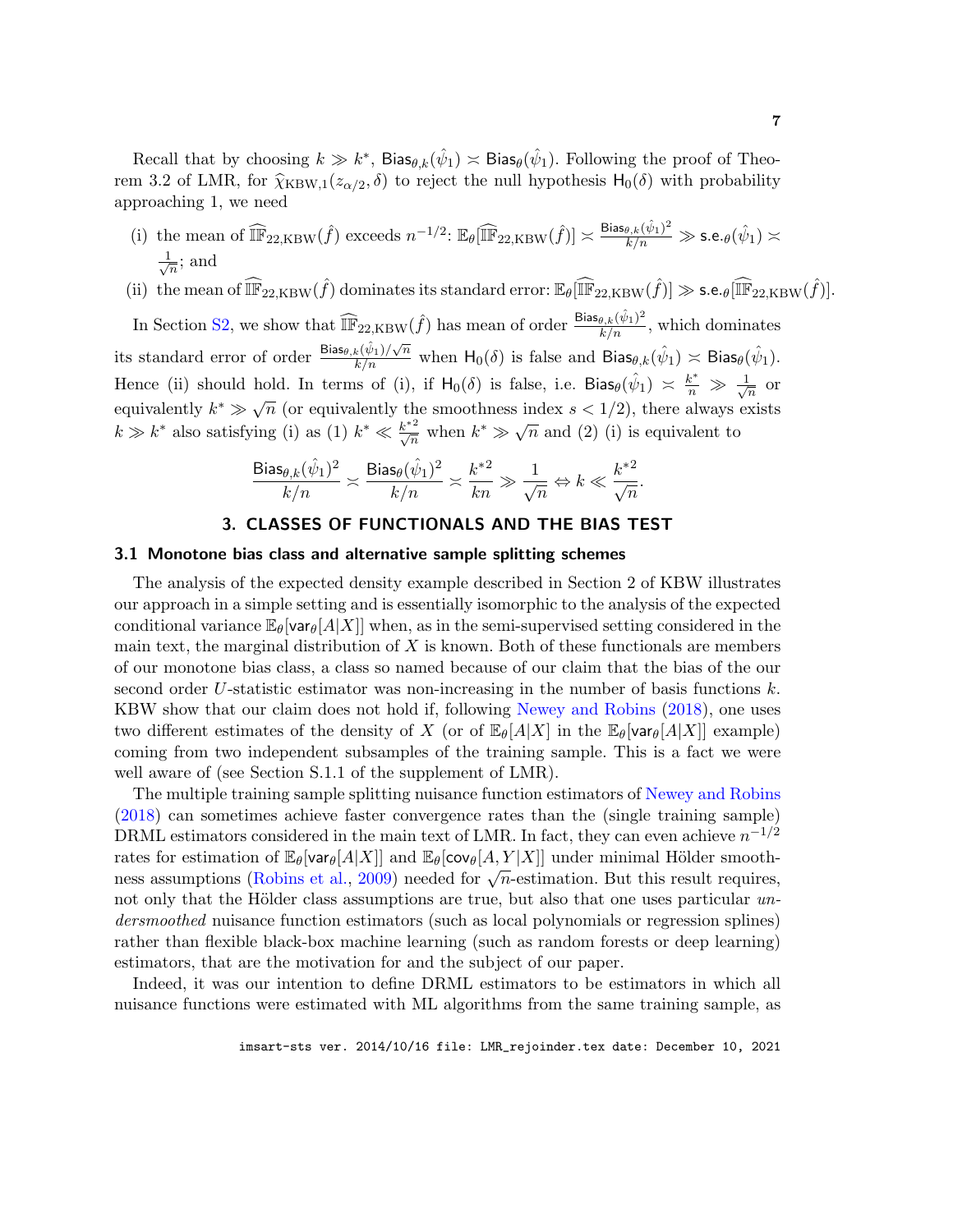<span id="page-6-1"></span>Recall that by choosing  $k \gg k^*$ , Bias $\theta_k(\hat{\psi}_1) \asymp$  Bias $\theta(\hat{\psi}_1)$ . Following the proof of Theorem 3.2 of LMR, for  $\hat{\chi}_{\text{KBW},1}(z_{\alpha/2},\delta)$  to reject the null hypothesis  $H_0(\delta)$  with probability approaching 1, we need

- (i) the mean of  $\widehat{\mathbb{IF}}_{22,KBW}(\hat{f})$  exceeds  $n^{-1/2}$ :  $\mathbb{E}_{\theta}[\widehat{\mathbb{IF}}_{22,KBW}(\hat{f})] \asymp \frac{\text{Bias}_{\theta,k}(\hat{\psi}_1)^2}{k/n} \gg \text{s.e.}_{\theta}(\hat{\psi}_1) \asymp$  $\frac{1}{\sqrt{2}}$  $\frac{1}{n}$ ; and
- (ii) the mean of  $\widehat{\mathbb{IF}}_{22, \text{KBW}}(\hat{f})$  dominates its standard error:  $\mathbb{E}_{\theta}[\widehat{\mathbb{IF}}_{22, \text{KBW}}(\hat{f})] \gg$  s.e.  $_{\theta}[\widehat{\mathbb{IF}}_{22, \text{KBW}}(\hat{f})]$ .

In Section [S2,](#page-2-1) we show that  $\widehat{\mathbb{IF}}_{22, \text{KBW}}(\hat{f})$  has mean of order  $\frac{\text{Bias}_{\theta, k}(\hat{\psi}_1)^2}{k/n}$ , which dominates its standard error of order  $\frac{\text{Bias}_{\theta,k}(\hat{\psi}_1)/\sqrt{n}}{k/n}$  when  $H_0(\delta)$  is false and  $\text{Bias}_{\theta,k}(\hat{\psi}_1) \asymp \text{Bias}_{\theta}(\hat{\psi}_1)$ . Hence (ii) should hold. In terms of (i), if  $H_0(\delta)$  is false, i.e. Bias $\theta(\hat{\psi}_1) \approx \frac{k^*}{n} \gg \frac{1}{\sqrt{\delta}}$  $\frac{1}{n}$  or equivalently  $k^* \gg \sqrt{n}$  (or equivalently the smoothness index  $s < 1/2$ ), there always exists  $k \gg k^*$  also satisfying (i) as (1)  $k^* \ll \frac{k^{*2}}{\sqrt{n}}$  when  $k^* \gg \sqrt{n}$  and (2) (i) is equivalent to

$$
\frac{\mathrm{Bias}_{\theta,k}(\hat{\psi}_1)^2}{k/n}\asymp \frac{\mathrm{Bias}_\theta(\hat{\psi}_1)^2}{k/n}\asymp \frac{k^{*2}}{kn}\gg \frac{1}{\sqrt{n}} \Leftrightarrow k\ll \frac{k^{*2}}{\sqrt{n}}.
$$

#### 3. CLASSES OF FUNCTIONALS AND THE BIAS TEST

#### <span id="page-6-0"></span>3.1 Monotone bias class and alternative sample splitting schemes

The analysis of the expected density example described in Section 2 of KBW illustrates our approach in a simple setting and is essentially isomorphic to the analysis of the expected conditional variance  $\mathbb{E}_{\theta}$ [var $\theta$ [A|X]] when, as in the semi-supervised setting considered in the main text, the marginal distribution of  $X$  is known. Both of these functionals are members of our monotone bias class, a class so named because of our claim that the bias of the our second order U-statistic estimator was non-increasing in the number of basis functions  $k$ . KBW show that our claim does not hold if, following [Newey and Robins](#page-15-8) [\(2018\)](#page-15-8), one uses two different estimates of the density of X (or of  $\mathbb{E}_{\theta}[A|X]$  in the  $\mathbb{E}_{\theta}[\text{var}_{\theta}[A|X]]$  example) coming from two independent subsamples of the training sample. This is a fact we were well aware of (see Section S.1.1 of the supplement of LMR).

The multiple training sample splitting nuisance function estimators of [Newey and Robins](#page-15-8) [\(2018\)](#page-15-8) can sometimes achieve faster convergence rates than the (single training sample) DRML estimators considered in the main text of LMR. In fact, they can even achieve  $n^{-1/2}$ rates for estimation of  $\mathbb{E}_{\theta}[\text{var}_{\theta}[A|X]]$  and  $\mathbb{E}_{\theta}[\text{cov}_{\theta}[A,Y|X]]$  under minimal Hölder smoothrates for estimation of  $\mathbb{E}_{\theta}[\text{val}_{\theta}[A|X]]$  and  $\mathbb{E}_{\theta}[\text{cov}_{\theta}[X, I | X]]$  under immitial flotter smooth-<br>ness assumptions [\(Robins et al.,](#page-15-9) [2009\)](#page-15-9) needed for  $\sqrt{n}$ -estimation. But this result requires, not only that the Hölder class assumptions are true, but also that one uses particular  $\mathit{un-}$ dersmoothed nuisance function estimators (such as local polynomials or regression splines) rather than flexible black-box machine learning (such as random forests or deep learning) estimators, that are the motivation for and the subject of our paper.

Indeed, it was our intention to define DRML estimators to be estimators in which all nuisance functions were estimated with ML algorithms from the same training sample, as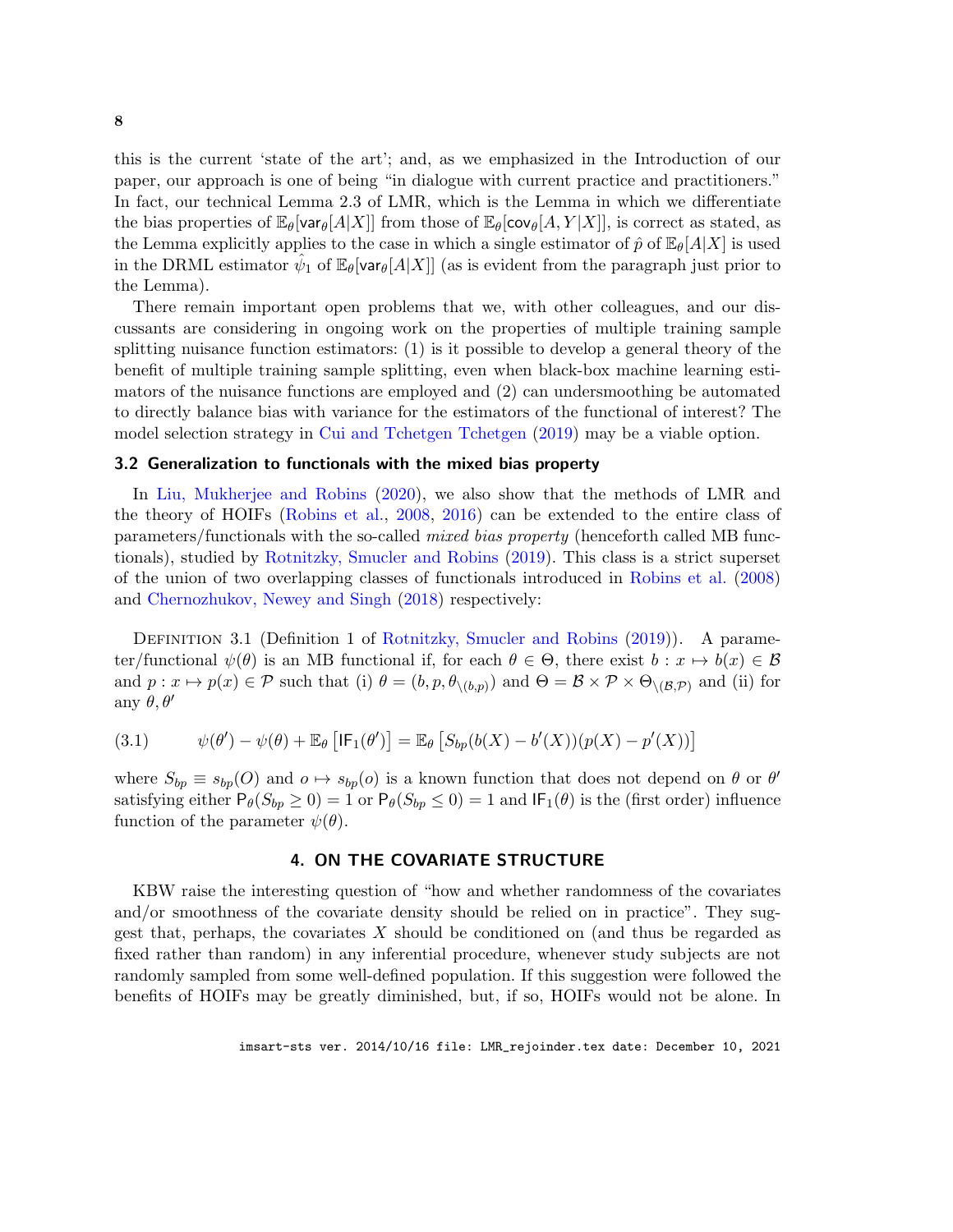<span id="page-7-2"></span>this is the current 'state of the art'; and, as we emphasized in the Introduction of our paper, our approach is one of being "in dialogue with current practice and practitioners." In fact, our technical Lemma 2.3 of LMR, which is the Lemma in which we differentiate the bias properties of  $\mathbb{E}_{\theta}[\text{var}_{\theta}[A|X]]$  from those of  $\mathbb{E}_{\theta}[\text{cov}_{\theta}[A, Y|X]]$ , is correct as stated, as the Lemma explicitly applies to the case in which a single estimator of  $\hat{p}$  of  $\mathbb{E}_{\theta}[A|X]$  is used in the DRML estimator  $\hat{\psi}_1$  of  $\mathbb{E}_{\theta}[\text{var}_{\theta}[A|X]]$  (as is evident from the paragraph just prior to the Lemma).

There remain important open problems that we, with other colleagues, and our discussants are considering in ongoing work on the properties of multiple training sample splitting nuisance function estimators: (1) is it possible to develop a general theory of the benefit of multiple training sample splitting, even when black-box machine learning estimators of the nuisance functions are employed and (2) can undersmoothing be automated to directly balance bias with variance for the estimators of the functional of interest? The model selection strategy in [Cui and Tchetgen Tchetgen](#page-15-10) [\(2019\)](#page-15-10) may be a viable option.

#### <span id="page-7-1"></span>3.2 Generalization to functionals with the mixed bias property

In [Liu, Mukherjee and Robins](#page-15-7) [\(2020\)](#page-15-7), we also show that the methods of LMR and the theory of HOIFs [\(Robins et al.,](#page-15-4) [2008,](#page-15-4) [2016\)](#page-15-11) can be extended to the entire class of parameters/functionals with the so-called mixed bias property (henceforth called MB functionals), studied by [Rotnitzky, Smucler and Robins](#page-15-12) [\(2019\)](#page-15-12). This class is a strict superset of the union of two overlapping classes of functionals introduced in [Robins et al.](#page-15-4) [\(2008\)](#page-15-4) and [Chernozhukov, Newey and Singh](#page-14-2) [\(2018\)](#page-14-2) respectively:

DEFINITION 3.1 (Definition 1 of [Rotnitzky, Smucler and Robins](#page-15-12) [\(2019\)](#page-15-12)). A parameter/functional  $\psi(\theta)$  is an MB functional if, for each  $\theta \in \Theta$ , there exist  $b: x \mapsto b(x) \in \mathcal{B}$ and  $p: x \mapsto p(x) \in \mathcal{P}$  such that (i)  $\theta = (b, p, \theta_{\setminus (b,p)})$  and  $\Theta = \mathcal{B} \times \mathcal{P} \times \Theta_{\setminus (\mathcal{B},\mathcal{P})}$  and (ii) for any  $\theta, \theta'$ 

<span id="page-7-0"></span>(3.1) 
$$
\psi(\theta') - \psi(\theta) + \mathbb{E}_{\theta} \left[ \mathsf{IF}_{1}(\theta') \right] = \mathbb{E}_{\theta} \left[ S_{bp}(b(X) - b'(X))(p(X) - p'(X)) \right]
$$

where  $S_{bp} \equiv s_{bp}(O)$  and  $o \mapsto s_{bp}(o)$  is a known function that does not depend on  $\theta$  or  $\theta'$ satisfying either  $P_{\theta}(S_{bp} \geq 0) = 1$  or  $P_{\theta}(S_{bp} \leq 0) = 1$  and  $IF_1(\theta)$  is the (first order) influence function of the parameter  $\psi(\theta)$ .

#### 4. ON THE COVARIATE STRUCTURE

KBW raise the interesting question of "how and whether randomness of the covariates and/or smoothness of the covariate density should be relied on in practice". They suggest that, perhaps, the covariates  $X$  should be conditioned on (and thus be regarded as fixed rather than random) in any inferential procedure, whenever study subjects are not randomly sampled from some well-defined population. If this suggestion were followed the benefits of HOIFs may be greatly diminished, but, if so, HOIFs would not be alone. In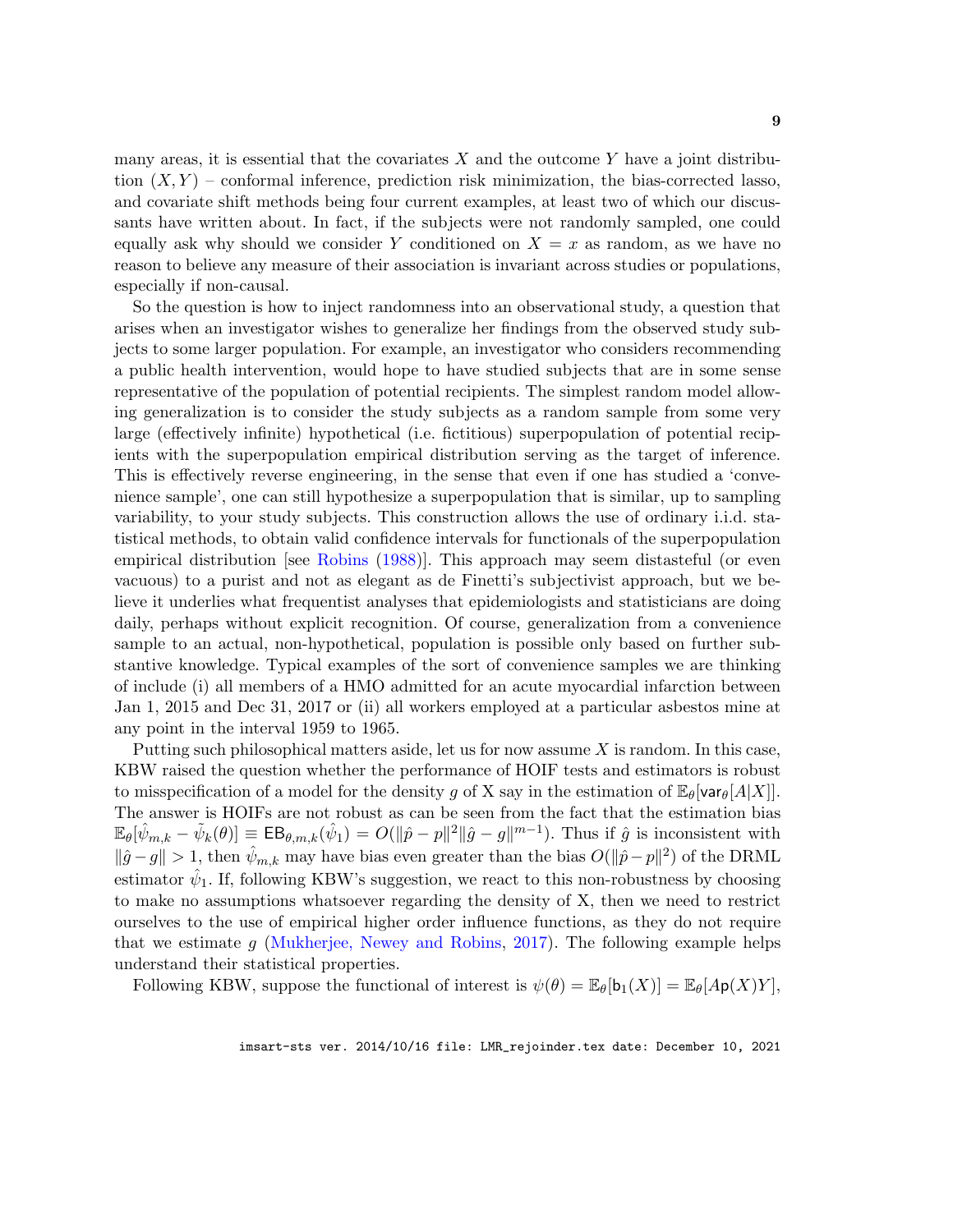<span id="page-8-0"></span>many areas, it is essential that the covariates  $X$  and the outcome Y have a joint distribution  $(X, Y)$  – conformal inference, prediction risk minimization, the bias-corrected lasso, and covariate shift methods being four current examples, at least two of which our discussants have written about. In fact, if the subjects were not randomly sampled, one could equally ask why should we consider Y conditioned on  $X = x$  as random, as we have no reason to believe any measure of their association is invariant across studies or populations, especially if non-causal.

So the question is how to inject randomness into an observational study, a question that arises when an investigator wishes to generalize her findings from the observed study subjects to some larger population. For example, an investigator who considers recommending a public health intervention, would hope to have studied subjects that are in some sense representative of the population of potential recipients. The simplest random model allowing generalization is to consider the study subjects as a random sample from some very large (effectively infinite) hypothetical (i.e. fictitious) superpopulation of potential recipients with the superpopulation empirical distribution serving as the target of inference. This is effectively reverse engineering, in the sense that even if one has studied a 'convenience sample', one can still hypothesize a superpopulation that is similar, up to sampling variability, to your study subjects. This construction allows the use of ordinary i.i.d. statistical methods, to obtain valid confidence intervals for functionals of the superpopulation empirical distribution [see [Robins](#page-15-13) [\(1988\)](#page-15-13)]. This approach may seem distasteful (or even vacuous) to a purist and not as elegant as de Finetti's subjectivist approach, but we believe it underlies what frequentist analyses that epidemiologists and statisticians are doing daily, perhaps without explicit recognition. Of course, generalization from a convenience sample to an actual, non-hypothetical, population is possible only based on further substantive knowledge. Typical examples of the sort of convenience samples we are thinking of include (i) all members of a HMO admitted for an acute myocardial infarction between Jan 1, 2015 and Dec 31, 2017 or (ii) all workers employed at a particular asbestos mine at any point in the interval 1959 to 1965.

Putting such philosophical matters aside, let us for now assume X is random. In this case, KBW raised the question whether the performance of HOIF tests and estimators is robust to misspecification of a model for the density g of X say in the estimation of  $\mathbb{E}_{\theta}[\text{var}_{\theta}[A|X]].$ The answer is HOIFs are not robust as can be seen from the fact that the estimation bias  $\mathbb{E}_{\theta}[\hat{\psi}_{m,k} - \tilde{\psi}_k(\theta)] \equiv \mathsf{EB}_{\theta,m,k}(\hat{\psi}_1) = O(\|\hat{p} - p\|^2 \|\hat{g} - g\|^{m-1}).$  Thus if  $\hat{g}$  is inconsistent with  $\|\hat{g}-g\| > 1$ , then  $\hat{\psi}_{m,k}$  may have bias even greater than the bias  $O(\|\hat{p}-p\|^2)$  of the DRML estimator  $\hat{\psi}_1$ . If, following KBW's suggestion, we react to this non-robustness by choosing to make no assumptions whatsoever regarding the density of X, then we need to restrict ourselves to the use of empirical higher order influence functions, as they do not require that we estimate  $g$  [\(Mukherjee, Newey and Robins,](#page-15-6) [2017\)](#page-15-6). The following example helps understand their statistical properties.

Following KBW, suppose the functional of interest is  $\psi(\theta) = \mathbb{E}_{\theta}[b_1(X)] = \mathbb{E}_{\theta}[A\mathsf{p}(X)Y],$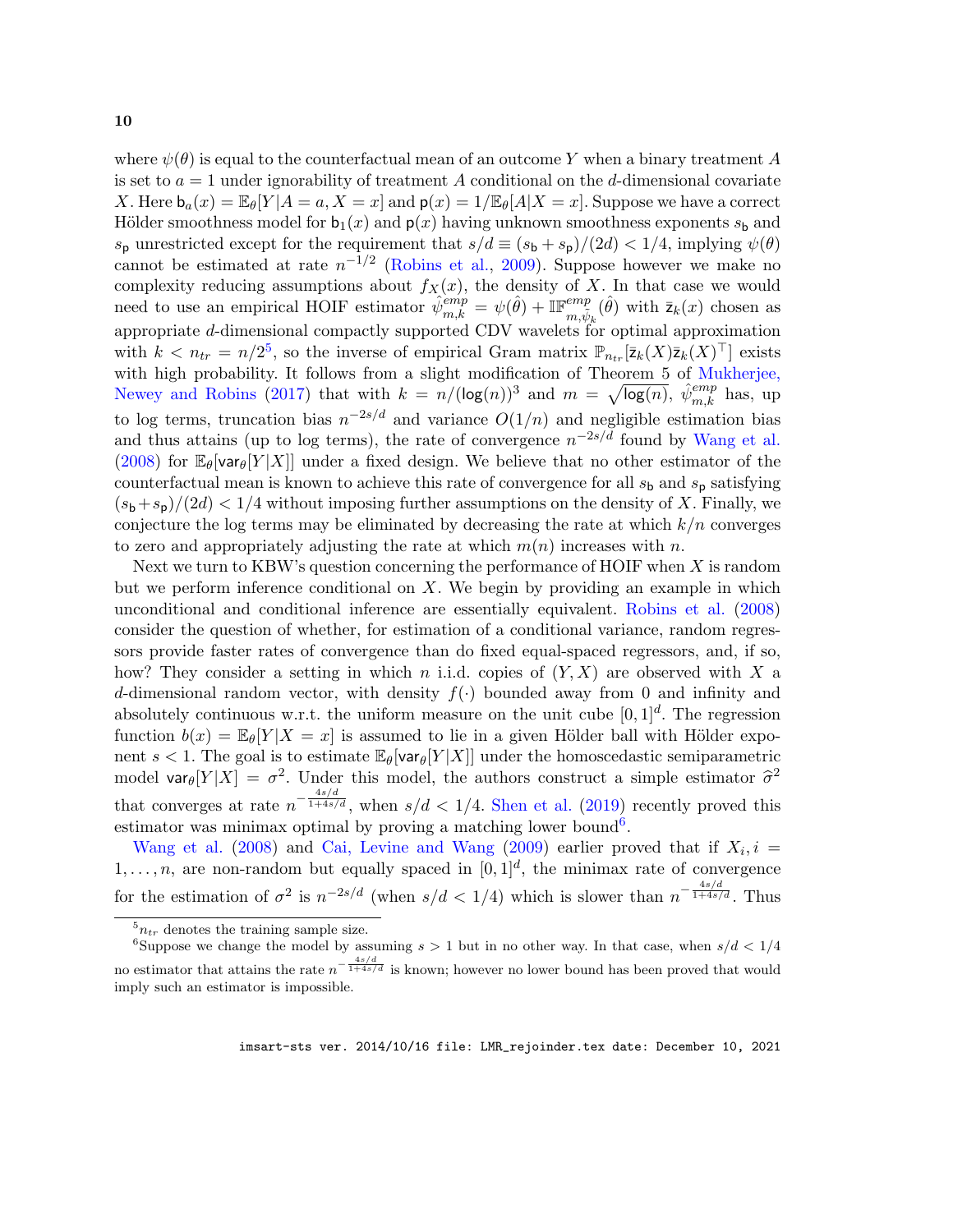<span id="page-9-2"></span>where  $\psi(\theta)$  is equal to the counterfactual mean of an outcome Y when a binary treatment A is set to  $a = 1$  under ignorability of treatment A conditional on the d-dimensional covariate X. Here  $b_a(x) = \mathbb{E}_{\theta}[Y|A=a, X=x]$  and  $p(x) = 1/\mathbb{E}_{\theta}[A|X=x]$ . Suppose we have a correct Hölder smoothness model for  $b_1(x)$  and  $p(x)$  having unknown smoothness exponents  $s_b$  and  $s_p$  unrestricted except for the requirement that  $s/d \equiv (s_b + s_p)/(2d) < 1/4$ , implying  $\psi(\theta)$ cannot be estimated at rate  $n^{-1/2}$  [\(Robins et al.,](#page-15-9) [2009\)](#page-15-9). Suppose however we make no complexity reducing assumptions about  $f_X(x)$ , the density of X. In that case we would need to use an empirical HOIF estimator  $\hat{\psi}_{m,k}^{emp} = \psi(\hat{\theta}) + \mathbb{IF}_{m,\tilde{\psi}_k}^{emp}(\hat{\theta})$  with  $\bar{z}_k(x)$  chosen as appropriate d-dimensional compactly supported CDV wavelets for optimal approximation with  $k < n_{tr} = n/2^5$  $k < n_{tr} = n/2^5$ , so the inverse of empirical Gram matrix  $\mathbb{P}_{n_{tr}}[\bar{z}_k(X)\bar{z}_k(X)^\top]$  exists with high probability. It follows from a slight modification of Theorem 5 of [Mukherjee,](#page-15-6) [Newey and Robins](#page-15-6) [\(2017\)](#page-15-6) that with  $k = n/(\log(n))^3$  and  $m = \sqrt{\log(n)}$ ,  $\hat{\psi}_{m,k}^{emp}$  has, up to log terms, truncation bias  $n^{-2s/d}$  and variance  $O(1/n)$  and negligible estimation bias and thus attains (up to log terms), the rate of convergence  $n^{-2s/d}$  found by [Wang et al.](#page-15-14) [\(2008\)](#page-15-14) for  $\mathbb{E}_{\theta}$ [var $_{\theta}$ [Y|X]] under a fixed design. We believe that no other estimator of the counterfactual mean is known to achieve this rate of convergence for all  $s<sub>b</sub>$  and  $s<sub>b</sub>$  satisfying  $(s_b+s_p)/(2d) < 1/4$  without imposing further assumptions on the density of X. Finally, we conjecture the log terms may be eliminated by decreasing the rate at which  $k/n$  converges to zero and appropriately adjusting the rate at which  $m(n)$  increases with n.

Next we turn to KBW's question concerning the performance of HOIF when  $X$  is random but we perform inference conditional on  $X$ . We begin by providing an example in which unconditional and conditional inference are essentially equivalent. [Robins et al.](#page-15-4) [\(2008\)](#page-15-4) consider the question of whether, for estimation of a conditional variance, random regressors provide faster rates of convergence than do fixed equal-spaced regressors, and, if so, how? They consider a setting in which n i.i.d. copies of  $(Y, X)$  are observed with X a d-dimensional random vector, with density  $f(.)$  bounded away from 0 and infinity and absolutely continuous w.r.t. the uniform measure on the unit cube  $[0, 1]^d$ . The regression function  $b(x) = \mathbb{E}_{\theta}[Y|X=x]$  is assumed to lie in a given Hölder ball with Hölder exponent  $s < 1$ . The goal is to estimate  $\mathbb{E}_{\theta}[\text{var}_{\theta}[Y|X]]$  under the homoscedastic semiparametric model  $\text{var}_{\theta}[Y|X] = \sigma^2$ . Under this model, the authors construct a simple estimator  $\hat{\sigma}^2$ that converges at rate  $n^{-\frac{4s/d}{1+4s/d}}$ , when  $s/d < 1/4$ . [Shen et al.](#page-15-15) [\(2019\)](#page-15-15) recently proved this estimator was minimax optimal by proving a matching lower bound<sup>[6](#page-9-1)</sup>.

[Wang et al.](#page-15-14) [\(2008\)](#page-15-14) and [Cai, Levine and Wang](#page-14-3) [\(2009\)](#page-14-3) earlier proved that if  $X_i$ ,  $i =$  $1, \ldots, n$ , are non-random but equally spaced in  $[0, 1]^d$ , the minimax rate of convergence for the estimation of  $\sigma^2$  is  $n^{-2s/d}$  (when  $s/d < 1/4$ ) which is slower than  $n^{-\frac{4s/d}{1+4s/d}}$ . Thus

<span id="page-9-1"></span><span id="page-9-0"></span> $5n_{tr}$  denotes the training sample size.

<sup>&</sup>lt;sup>6</sup>Suppose we change the model by assuming  $s > 1$  but in no other way. In that case, when  $s/d < 1/4$ no estimator that attains the rate  $n^{-\frac{4s/d}{1+4s/d}}$  is known; however no lower bound has been proved that would imply such an estimator is impossible.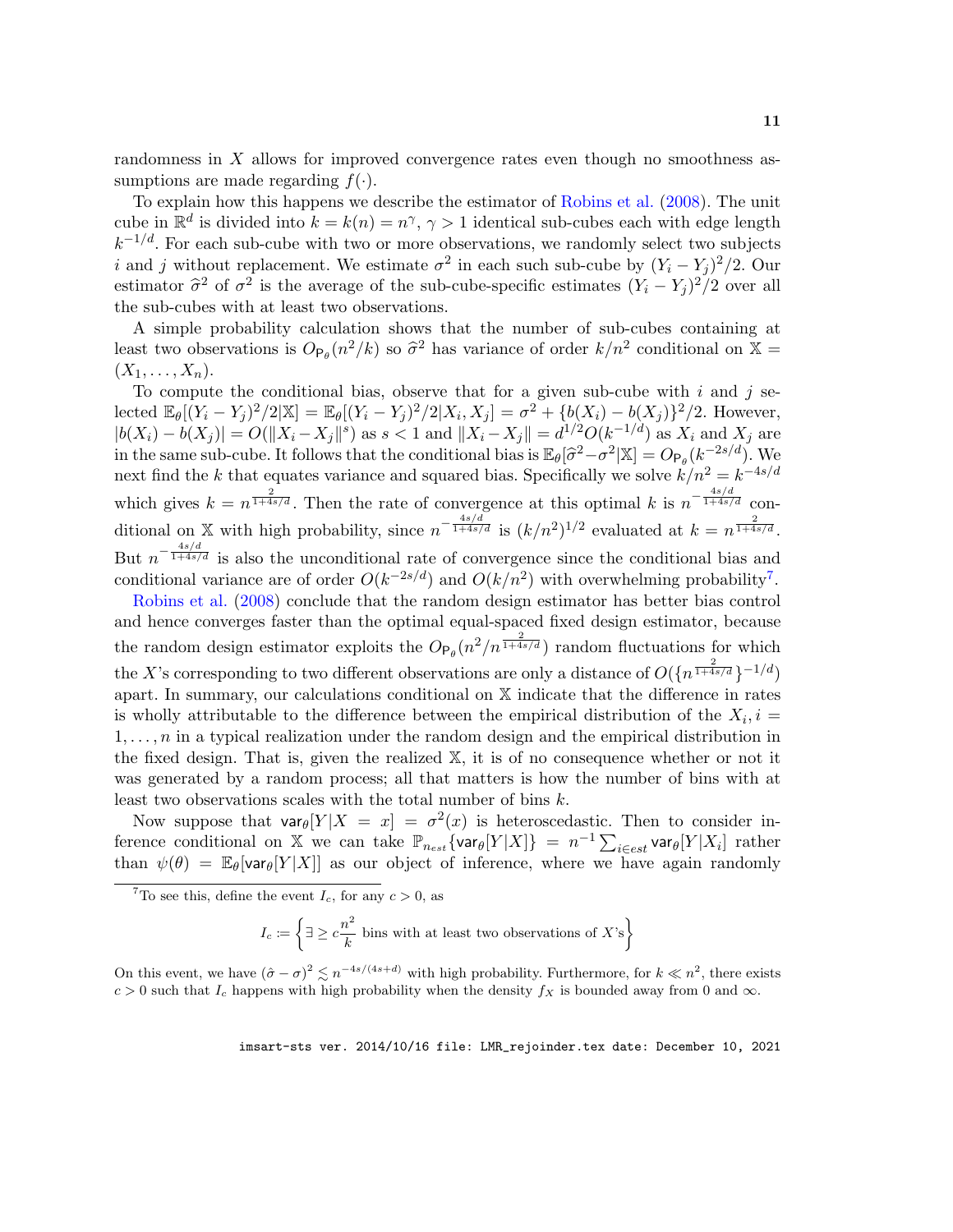<span id="page-10-1"></span>randomness in X allows for improved convergence rates even though no smoothness assumptions are made regarding  $f(.)$ .

To explain how this happens we describe the estimator of [Robins et al.](#page-15-4) [\(2008\)](#page-15-4). The unit cube in  $\mathbb{R}^d$  is divided into  $k = k(n) = n^{\gamma}, \gamma > 1$  identical sub-cubes each with edge length  $k^{-1/d}$ . For each sub-cube with two or more observations, we randomly select two subjects *i* and *j* without replacement. We estimate  $\sigma^2$  in each such sub-cube by  $(Y_i - Y_j)^2/2$ . Our estimator  $\hat{\sigma}^2$  of  $\sigma^2$  is the average of the sub-cube-specific estimates  $(Y_i - Y_j)^2/2$  over all the sub-cubes with at least two observations.

A simple probability calculation shows that the number of sub-cubes containing at least two observations is  $O_{\mathsf{P}_{\theta}}(n^2/k)$  so  $\hat{\sigma}^2$  has variance of order  $k/n^2$  conditional on  $\mathbb{X} = (X, Y)$  $(X_1,\ldots,X_n).$ 

To compute the conditional bias, observe that for a given sub-cube with  $i$  and  $j$  selected  $\mathbb{E}_{\theta}[(Y_i - Y_j)^2/2|\mathbb{X}] = \mathbb{E}_{\theta}[(Y_i - Y_j)^2/2|X_i, X_j] = \sigma^2 + \{b(X_i) - b(X_j)\}^2/2$ . However,  $|b(X_i) - b(X_j)| = O(||X_i - X_j||^s)$  as  $s < 1$  and  $||X_i - X_j|| = d^{1/2}O(k^{-1/d})$  as  $X_i$  and  $X_j$  are in the same sub-cube. It follows that the conditional bias is  $\mathbb{E}_{\theta}[\hat{\sigma}^2 - \sigma^2 | \mathbb{X}] = O_{\mathsf{P}_{\theta}}(k^{-2s/d})$ . We next find the k that equates variance and squared bias. Specifically we solve  $k/n^2 = k^{-4s/d}$ which gives  $k = n^{\frac{2}{1+4s/d}}$ . Then the rate of convergence at this optimal k is  $n^{-\frac{4s/d}{1+4s/d}}$  conditional on X with high probability, since  $n^{-\frac{4s/d}{1+4s/d}}$  is  $(k/n^2)^{1/2}$  evaluated at  $k = n^{\frac{2}{1+4s/d}}$ . But  $n^{-\frac{4s/d}{1+4s/d}}$  is also the unconditional rate of convergence since the conditional bias and conditional variance are of order  $O(k^{-2s/d})$  and  $O(k/n^2)$  with overwhelming probability<sup>[7](#page-10-0)</sup>.

[Robins et al.](#page-15-4) [\(2008\)](#page-15-4) conclude that the random design estimator has better bias control and hence converges faster than the optimal equal-spaced fixed design estimator, because the random design estimator exploits the  $O_{\mathsf{P}_{\theta}}(n^2/n^{\frac{2}{1+4s/d}})$  random fluctuations for which the X's corresponding to two different observations are only a distance of  $O(\lbrace n^{\frac{2}{1+4s/d}} \rbrace^{-1/d})$ apart. In summary, our calculations conditional on X indicate that the difference in rates is wholly attributable to the difference between the empirical distribution of the  $X_i$ ,  $i =$  $1, \ldots, n$  in a typical realization under the random design and the empirical distribution in the fixed design. That is, given the realized X, it is of no consequence whether or not it was generated by a random process; all that matters is how the number of bins with at least two observations scales with the total number of bins  $k$ .

Now suppose that  $var_{\theta}[Y|X = x] = \sigma^2(x)$  is heteroscedastic. Then to consider inference conditional on X we can take  $\mathbb{P}_{n_{est}}\{\textsf{var}_{\theta}[Y|X]\} = n^{-1}\sum_{i \in est} \textsf{var}_{\theta}[Y|X_i]$  rather than  $\psi(\theta) = \mathbb{E}_{\theta}[\text{var}_{\theta}[Y|X]]$  as our object of inference, where we have again randomly

<span id="page-10-0"></span><sup>7</sup>To see this, define the event  $I_c$ , for any  $c > 0$ , as

$$
I_c \coloneqq \left\{ \exists \geq c \frac{n^2}{k} \text{ bins with at least two observations of } X\text{'s} \right\}
$$

On this event, we have  $(\hat{\sigma} - \sigma)^2 \leq n^{-4s/(4s+d)}$  with high probability. Furthermore, for  $k \ll n^2$ , there exists c > 0 such that  $I_c$  happens with high probability when the density  $f_X$  is bounded away from 0 and  $\infty$ .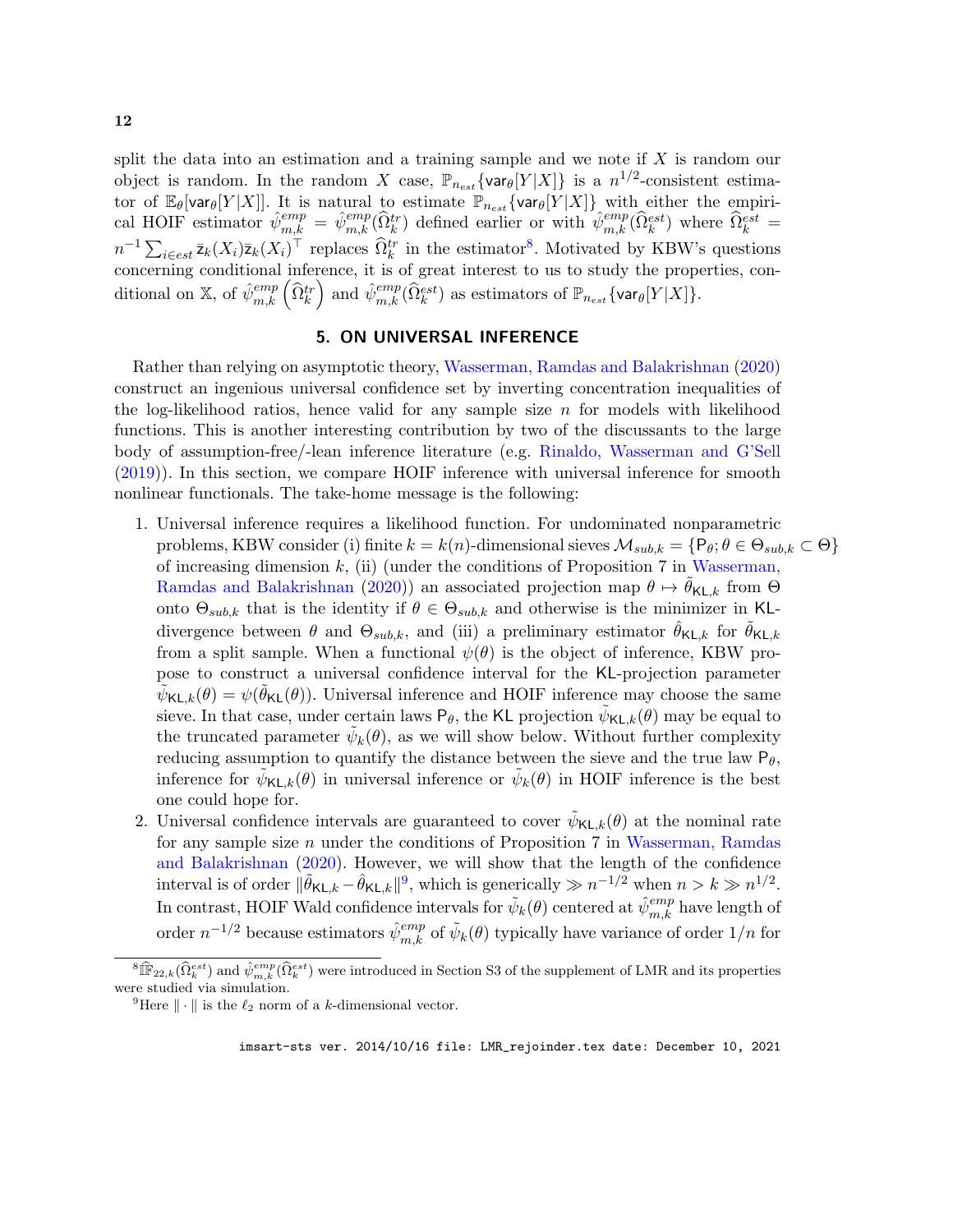<span id="page-11-2"></span>split the data into an estimation and a training sample and we note if  $X$  is random our object is random. In the random X case,  $\mathbb{P}_{n_{est}}\{\text{var}_{\theta}[Y|X]\}\$  is a  $n^{1/2}$ -consistent estimator of  $\mathbb{E}_{\theta}[\text{var}_{\theta}[Y|X]]$ . It is natural to estimate  $\mathbb{P}_{n_{est}}\{\text{var}_{\theta}[Y|X]\}$  with either the empirical HOIF estimator  $\hat{\psi}_{m,k}^{emp} = \hat{\psi}_{m,k}^{emp}(\hat{\Omega}_k^{tr})$  defined earlier or with  $\hat{\psi}_{m,k}^{emp}(\hat{\Omega}_k^{est})$  where  $\hat{\Omega}_k^{est}$  $n^{-1} \sum_{i \in est} \bar{z}_k(X_i) \bar{z}_k(X_i)^\top$  replaces  $\widehat{\Omega}_k^{tr}$  in the estimator<sup>[8](#page-11-0)</sup>. Motivated by KBW's questions concerning conditional inference, it is of great interest to us to study the properties, conditional on X, of  $\hat{\psi}_{m,k}^{emp}(\hat{\Omega}_{k}^{tr})$  and  $\hat{\psi}_{m,k}^{emp}(\hat{\Omega}_{k}^{est})$  as estimators of  $\mathbb{P}_{n_{est}}\{\textsf{var}_{\theta}[Y|X]\}.$ 

## 5. ON UNIVERSAL INFERENCE

<span id="page-11-3"></span>Rather than relying on asymptotic theory, [Wasserman, Ramdas and Balakrishnan](#page-15-16) [\(2020\)](#page-15-16) construct an ingenious universal confidence set by inverting concentration inequalities of the log-likelihood ratios, hence valid for any sample size  $n$  for models with likelihood functions. This is another interesting contribution by two of the discussants to the large body of assumption-free/-lean inference literature (e.g. [Rinaldo, Wasserman and G'Sell](#page-15-17) [\(2019\)](#page-15-17)). In this section, we compare HOIF inference with universal inference for smooth nonlinear functionals. The take-home message is the following:

- 1. Universal inference requires a likelihood function. For undominated nonparametric problems, KBW consider (i) finite  $k = k(n)$ -dimensional sieves  $\mathcal{M}_{sub,k} = \{P_\theta: \theta \in \Theta_{sub,k} \subset \Theta\}$ of increasing dimension  $k$ , (ii) (under the conditions of Proposition 7 in [Wasserman,](#page-15-16) [Ramdas and Balakrishnan](#page-15-16) [\(2020\)](#page-15-16)) an associated projection map  $\theta \mapsto \theta_{\mathsf{KL},k}$  from  $\Theta$ onto  $\Theta_{sub,k}$  that is the identity if  $\theta \in \Theta_{sub,k}$  and otherwise is the minimizer in KLdivergence between  $\theta$  and  $\Theta_{sub,k}$ , and (iii) a preliminary estimator  $\theta_{\mathsf{KL},k}$  for  $\theta_{\mathsf{KL},k}$ from a split sample. When a functional  $\psi(\theta)$  is the object of inference, KBW propose to construct a universal confidence interval for the KL-projection parameter  $\tilde{\psi}_{\mathsf{KL},k}(\theta) = \psi(\tilde{\theta}_{\mathsf{KL}}(\theta)).$  Universal inference and HOIF inference may choose the same sieve. In that case, under certain laws  $P_{\theta}$ , the KL projection  $\tilde{\psi}_{\mathsf{KL},k}(\theta)$  may be equal to the truncated parameter  $\tilde{\psi}_k(\theta)$ , as we will show below. Without further complexity reducing assumption to quantify the distance between the sieve and the true law  $P_{\theta}$ , inference for  $\tilde{\psi}_{\mathsf{KL},k}(\theta)$  in universal inference or  $\tilde{\psi}_k(\theta)$  in HOIF inference is the best one could hope for.
- 2. Universal confidence intervals are guaranteed to cover  $\tilde{\psi}_{\mathsf{KL},k}(\theta)$  at the nominal rate for any sample size n under the conditions of Proposition 7 in [Wasserman, Ramdas](#page-15-16) [and Balakrishnan](#page-15-16) [\(2020\)](#page-15-16). However, we will show that the length of the confidence interval is of order  $\|\tilde{\theta}_{\mathsf{KL},k} - \hat{\theta}_{\mathsf{KL},k}\|^9$  $\|\tilde{\theta}_{\mathsf{KL},k} - \hat{\theta}_{\mathsf{KL},k}\|^9$ , which is generically  $\gg n^{-1/2}$  when  $n > k \gg n^{1/2}$ . In contrast, HOIF Wald confidence intervals for  $\tilde{\psi}_k(\theta)$  centered at  $\hat{\psi}_{m,k}^{emp}$  have length of order  $n^{-1/2}$  because estimators  $\hat{\psi}_{m,k}^{emp}$  of  $\tilde{\psi}_k(\theta)$  typically have variance of order  $1/n$  for

<span id="page-11-0"></span> ${}^8\widehat{\mathbb{IF}}_{22,k}(\widehat{\Omega}^{est}_k)$  and  $\widehat{\psi}^{emp}_{m,k}(\widehat{\Omega}^{est}_k)$  were introduced in Section S3 of the supplement of LMR and its properties were studied via simulation.

<span id="page-11-1"></span><sup>&</sup>lt;sup>9</sup>Here  $\|\cdot\|$  is the  $\ell_2$  norm of a k-dimensional vector.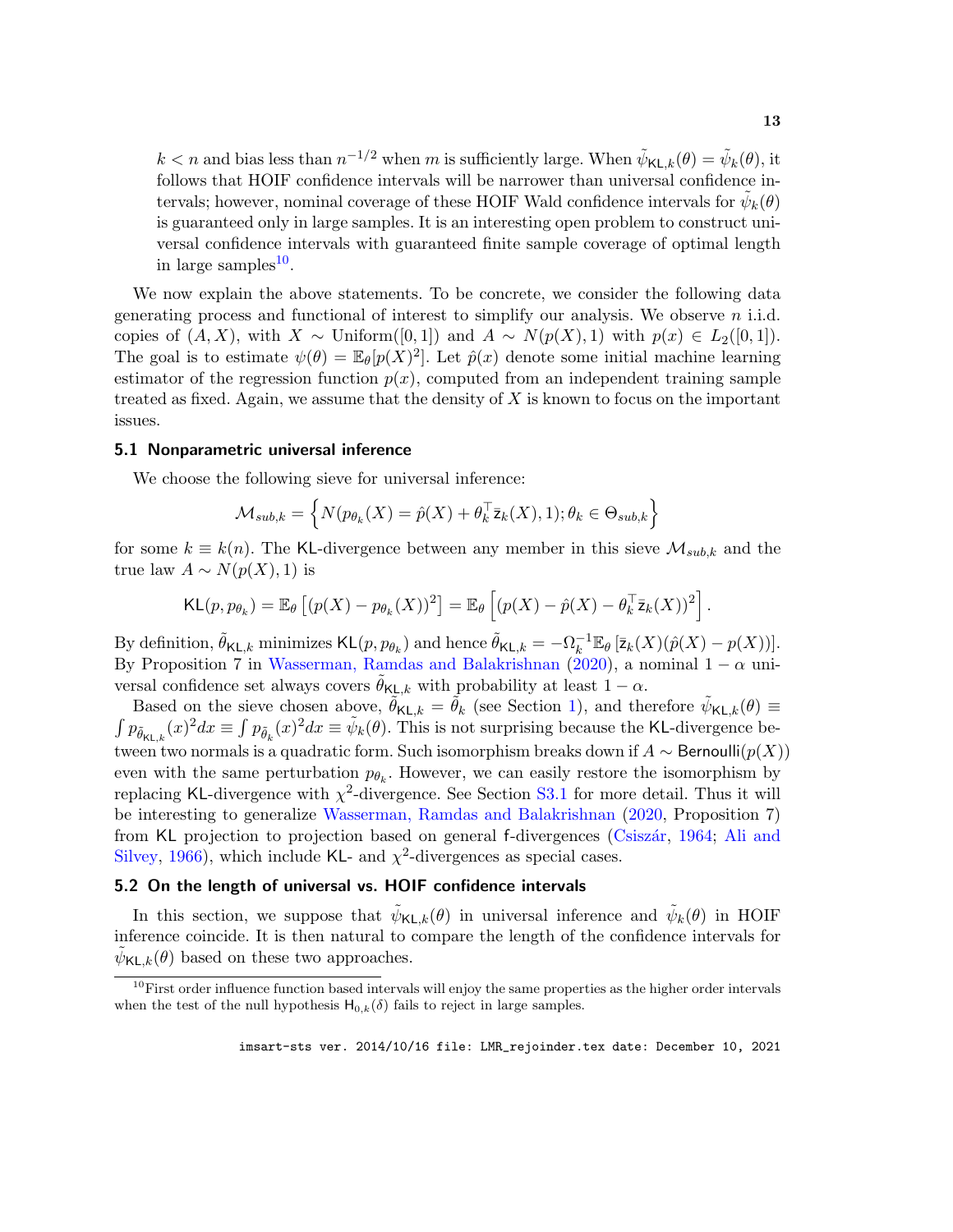<span id="page-12-1"></span> $k < n$  and bias less than  $n^{-1/2}$  when m is sufficiently large. When  $\tilde{\psi}_{\mathsf{KL},k}(\theta) = \tilde{\psi}_k(\theta)$ , it follows that HOIF confidence intervals will be narrower than universal confidence intervals; however, nominal coverage of these HOIF Wald confidence intervals for  $\tilde{\psi}_k(\theta)$ is guaranteed only in large samples. It is an interesting open problem to construct universal confidence intervals with guaranteed finite sample coverage of optimal length in large samples $^{10}$  $^{10}$  $^{10}$ .

We now explain the above statements. To be concrete, we consider the following data generating process and functional of interest to simplify our analysis. We observe  $n$  i.i.d. copies of  $(A, X)$ , with  $X \sim$  Uniform([0,1]) and  $A \sim N(p(X), 1)$  with  $p(x) \in L_2([0, 1])$ . The goal is to estimate  $\psi(\theta) = \mathbb{E}_{\theta}[p(X)^2]$ . Let  $\hat{p}(x)$  denote some initial machine learning estimator of the regression function  $p(x)$ , computed from an independent training sample treated as fixed. Again, we assume that the density of  $X$  is known to focus on the important issues.

#### 5.1 Nonparametric universal inference

We choose the following sieve for universal inference:

$$
\mathcal{M}_{sub,k} = \left\{ N(p_{\theta_k}(X) = \hat{p}(X) + \theta_k^{\top} \bar{z}_k(X), 1); \theta_k \in \Theta_{sub,k} \right\}
$$

for some  $k \equiv k(n)$ . The KL-divergence between any member in this sieve  $\mathcal{M}_{sub,k}$  and the true law  $A \sim N(p(X), 1)$  is

$$
\mathsf{KL}(p, p_{\theta_k}) = \mathbb{E}_{\theta}\left[ (p(X) - p_{\theta_k}(X))^2 \right] = \mathbb{E}_{\theta}\left[ (p(X) - \hat{p}(X) - \theta_k^{\top} \bar{z}_k(X))^2 \right].
$$

By definition,  $\tilde{\theta}_{\mathsf{KL},k}$  minimizes  $\mathsf{KL}(p, p_{\theta_k})$  and hence  $\tilde{\theta}_{\mathsf{KL},k} = -\Omega_k^{-1} \mathbb{E}_{\theta} [\bar{z}_k(X)(\hat{p}(X) - p(X))].$ By Proposition 7 in [Wasserman, Ramdas and Balakrishnan](#page-15-16) [\(2020\)](#page-15-16), a nominal  $1 - \alpha$  universal confidence set always covers  $\hat{\theta}_{\mathsf{KL},k}$  with probability at least  $1 - \alpha$ .

Based on the sieve chosen above,  $\tilde{\theta}_{\mathsf{KL},k} = \tilde{\theta}_k$  (see Section [1\)](#page-0-3), and therefore  $\tilde{\psi}_{\mathsf{KL},k}(\theta) \equiv$  $\int p_{\tilde{\theta}_{\mathsf{KL},k}}(x)^2 dx \equiv \int p_{\tilde{\theta}_{k}}(x)^2 dx \equiv \tilde{\psi}_{k}(\theta)$ . This is not surprising because the KL-divergence between two normals is a quadratic form. Such isomorphism breaks down if  $A \sim \text{Bernoulli}(p(X))$ even with the same perturbation  $p_{\theta_k}$ . However, we can easily restore the isomorphism by replacing KL-divergence with  $\chi^2$ -divergence. See Section [S3.1](#page-6-0) for more detail. Thus it will be interesting to generalize [Wasserman, Ramdas and Balakrishnan](#page-15-16) [\(2020,](#page-15-16) Proposition 7) from KL projection to projection based on general f-divergences (Csiszár, [1964;](#page-15-18) [Ali and](#page-14-4) [Silvey,](#page-14-4) [1966\)](#page-14-4), which include KL- and  $\chi^2$ -divergences as special cases.

## 5.2 On the length of universal vs. HOIF confidence intervals

In this section, we suppose that  $\tilde{\psi}_{\mathsf{KL},k}(\theta)$  in universal inference and  $\tilde{\psi}_k(\theta)$  in HOIF inference coincide. It is then natural to compare the length of the confidence intervals for  $\tilde{\psi}_{\mathsf{KL},k}(\theta)$  based on these two approaches.

<span id="page-12-0"></span> $10$ First order influence function based intervals will enjoy the same properties as the higher order intervals when the test of the null hypothesis  $H_{0,k}(\delta)$  fails to reject in large samples.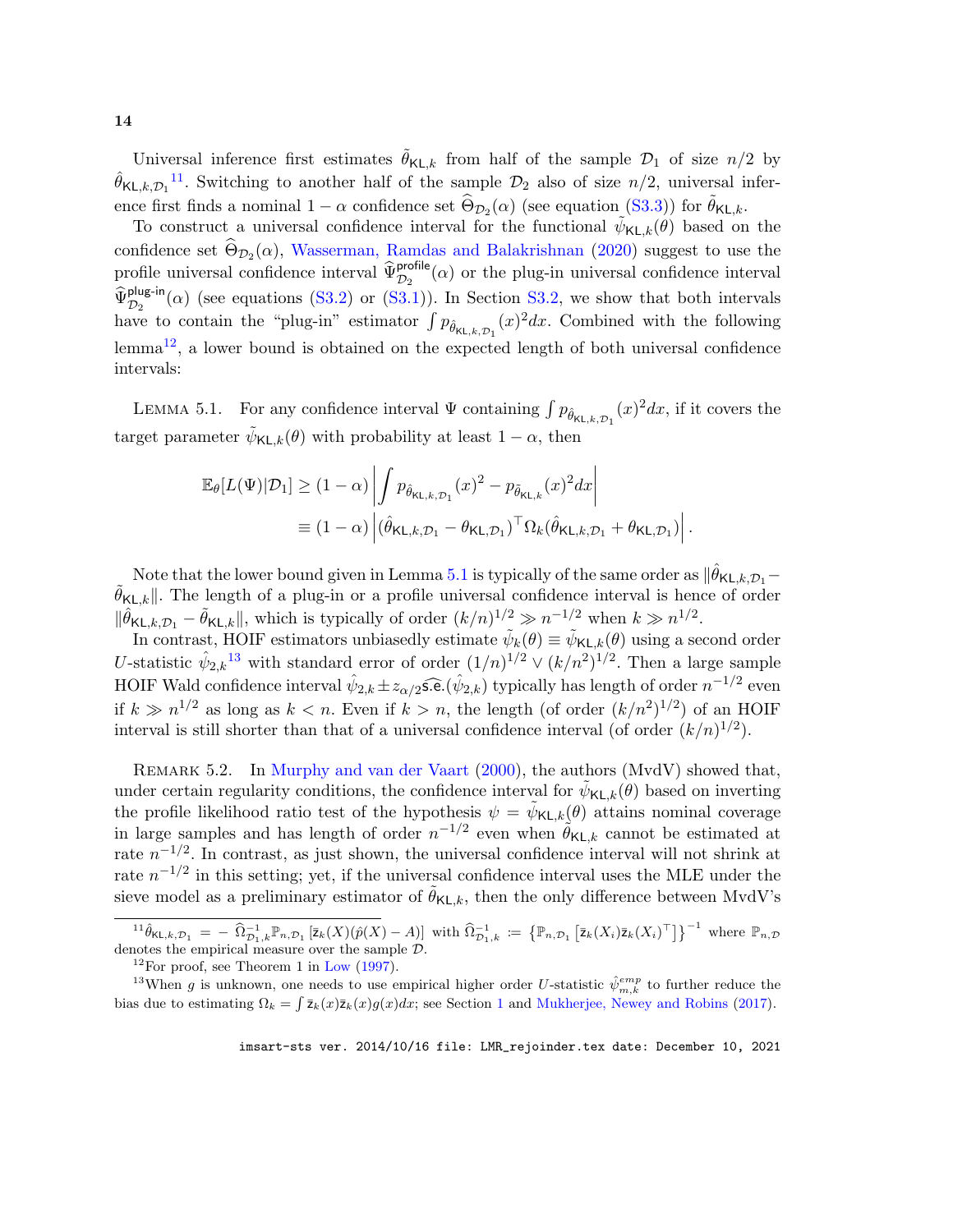<span id="page-13-4"></span>Universal inference first estimates  $\hat{\theta}_{\mathsf{KL},k}$  from half of the sample  $\mathcal{D}_1$  of size  $n/2$  by  $\hat{\theta}_{\mathsf{KL},k,\mathcal{D}_1}^{11}$  $\hat{\theta}_{\mathsf{KL},k,\mathcal{D}_1}^{11}$  $\hat{\theta}_{\mathsf{KL},k,\mathcal{D}_1}^{11}$ . Switching to another half of the sample  $\mathcal{D}_2$  also of size  $n/2$ , universal inference first finds a nominal  $1 - \alpha$  confidence set  $\widehat{\Theta}_{\mathcal{D}_2}(\alpha)$  (see equation [\(S3.3\)](#page-19-0)) for  $\widetilde{\theta}_{\mathsf{KL},k}$ .

To construct a universal confidence interval for the functional  $\tilde{\psi}_{\mathsf{KL},k}(\theta)$  based on the confidence set  $\Theta_{\mathcal{D}_2}(\alpha)$ , [Wasserman, Ramdas and Balakrishnan](#page-15-16) [\(2020\)](#page-15-16) suggest to use the profile universal confidence interval  $\widehat{\Psi}_{\mathcal{D}_2}^{\text{profile}}(\alpha)$  or the plug-in universal confidence interval  $\widehat{\Psi}_{\mathcal{D}_2}^{\text{plug-in}}(\alpha)$  (see equations [\(S3.2\)](#page-19-1) or [\(S3.1\)](#page-7-0)). In Section [S3.2,](#page-7-1) we show that both intervals have to contain the "plug-in" estimator  $\int p_{\hat{\theta}_{\mathsf{KL},k,\mathcal{D}_1}}(x)^2 dx$ . Combined with the following lemma[12](#page-13-1), a lower bound is obtained on the expected length of both universal confidence intervals:

<span id="page-13-2"></span>LEMMA 5.1. For any confidence interval  $\Psi$  containing  $\int p_{\hat{\theta}_{\mathsf{KL},k,\mathcal{D}_1}}(x)^2 dx$ , if it covers the target parameter  $\tilde{\psi}_{\mathsf{KL},k}(\theta)$  with probability at least  $1-\alpha$ , then

$$
\mathbb{E}_{\theta}[L(\Psi)|\mathcal{D}_1] \ge (1-\alpha) \left| \int p_{\hat{\theta}_{\mathsf{KL},k,\mathcal{D}_1}}(x)^2 - p_{\tilde{\theta}_{\mathsf{KL},k}}(x)^2 dx \right|
$$
  
\n
$$
\equiv (1-\alpha) \left| (\hat{\theta}_{\mathsf{KL},k,\mathcal{D}_1} - \theta_{\mathsf{KL},\mathcal{D}_1})^\top \Omega_k (\hat{\theta}_{\mathsf{KL},k,\mathcal{D}_1} + \theta_{\mathsf{KL},\mathcal{D}_1}) \right|.
$$

Note that the lower bound given in Lemma [5.1](#page-13-2) is typically of the same order as  $\|\hat{\theta}_{\mathsf{KL},k,\mathcal{D}_1} \tilde{\theta}_{\mathsf{KL},k}$ . The length of a plug-in or a profile universal confidence interval is hence of order  $\|\hat{\theta}_{\mathsf{KL},k,\mathcal{D}_1} - \tilde{\theta}_{\mathsf{KL},k}\|$ , which is typically of order  $(k/n)^{1/2} \gg n^{-1/2}$  when  $k \gg n^{1/2}$ .

In contrast, HOIF estimators unbiasedly estimate  $\tilde{\psi}_k(\theta) \equiv \tilde{\psi}_{\mathsf{KL},k}(\theta)$  using a second order U-statistic  $\hat{\psi}_{2,k}$ <sup>[13](#page-13-3)</sup> with standard error of order  $(1/n)^{1/2} \vee (k/n^2)^{1/2}$ . Then a large sample HOIF Wald confidence interval  $\hat{\psi}_{2,k} \pm z_{\alpha/2}$  s.e.  $(\hat{\psi}_{2,k})$  typically has length of order  $n^{-1/2}$  even if  $k \gg n^{1/2}$  as long as  $k < n$ . Even if  $k > n$ , the length (of order  $(k/n^2)^{1/2}$ ) of an HOIF interval is still shorter than that of a universal confidence interval (of order  $(k/n)^{1/2}$ ).

Remark 5.2. In [Murphy and van der Vaart](#page-15-19) [\(2000\)](#page-15-19), the authors (MvdV) showed that, under certain regularity conditions, the confidence interval for  $\tilde{\psi}_{\mathsf{KL},k}(\theta)$  based on inverting the profile likelihood ratio test of the hypothesis  $\psi = \tilde{\psi}_{\mathsf{KL},k}(\theta)$  attains nominal coverage in large samples and has length of order  $n^{-1/2}$  even when  $\tilde{\theta}_{\mathsf{KL},k}$  cannot be estimated at rate  $n^{-1/2}$ . In contrast, as just shown, the universal confidence interval will not shrink at rate  $n^{-1/2}$  in this setting; yet, if the universal confidence interval uses the MLE under the sieve model as a preliminary estimator of  $\theta_{\mathsf{KL},k}$ , then the only difference between MvdV's

<span id="page-13-0"></span> ${}^{11}\hat{\theta}_{\mathsf{KL},k,\mathcal{D}_1} = -\widehat{\Omega}_{\mathcal{D}_1,k}^{-1}\mathbb{P}_{n,\mathcal{D}_1} \left[\bar{\mathsf{z}}_k(X)(\hat{p}(X)-A)\right]$  with  $\widehat{\Omega}_{\mathcal{D}_1,k}^{-1} := \left\{\mathbb{P}_{n,\mathcal{D}_1} \left[\bar{\mathsf{z}}_k(X_i)\bar{\mathsf{z}}_k(X_i)^{\top}\right]\right\}^{-1}$  where  $\mathbb{P}_{n,\mathcal{D}_1,k}$ denotes the empirical measure over the sample D.

<span id="page-13-3"></span><span id="page-13-1"></span> $12$ For proof, see Theorem 1 in [Low](#page-15-20) [\(1997\)](#page-15-20).

<sup>&</sup>lt;sup>13</sup>When g is unknown, one needs to use empirical higher order U-statistic  $\hat{\psi}_{m,k}^{emp}$  to further reduce the bias due to estimating  $\Omega_k = \int \bar{z}_k(x)\bar{z}_k(x)g(x)dx$ ; see Section [1](#page-0-3) and [Mukherjee, Newey and Robins](#page-15-6) [\(2017\)](#page-15-6).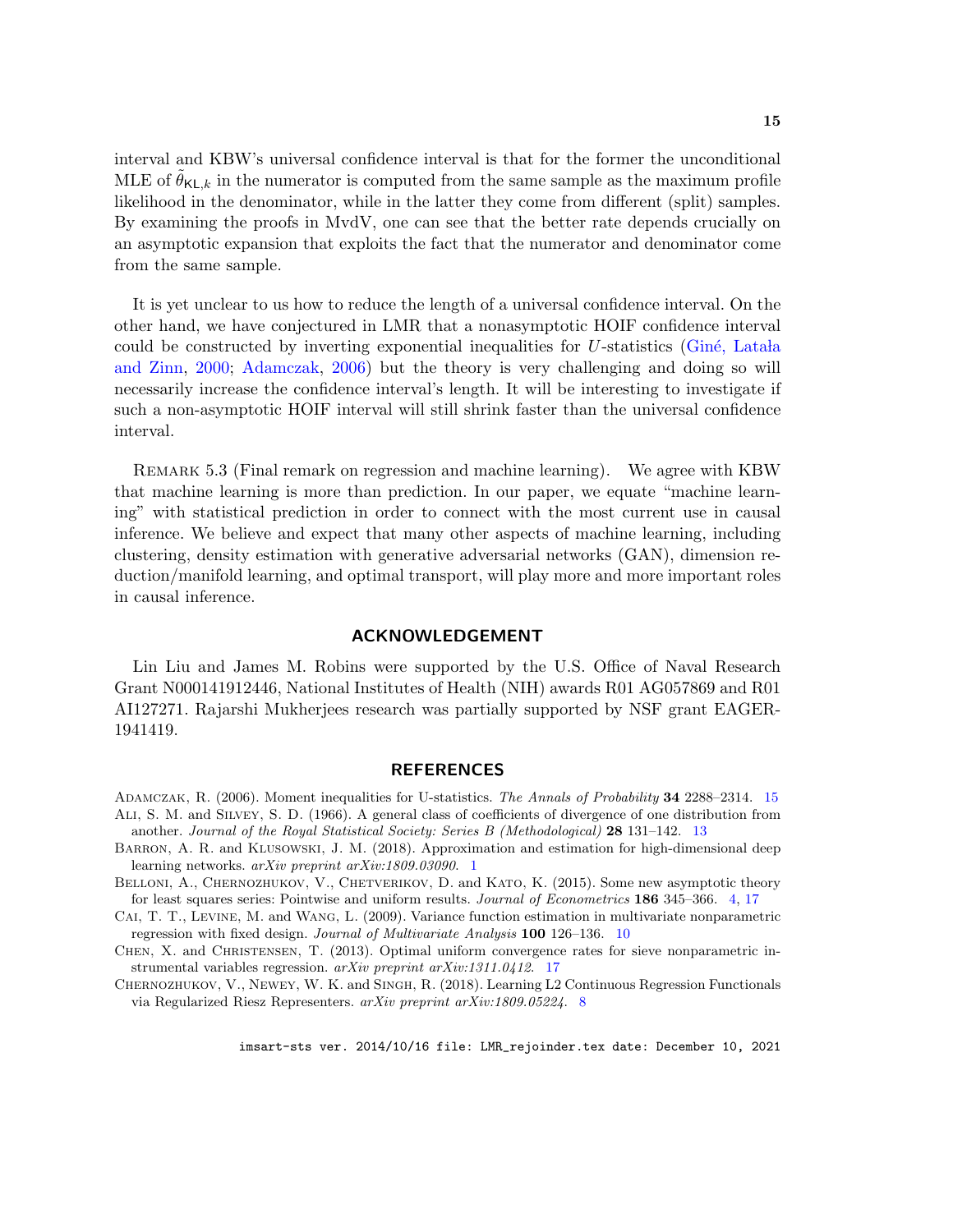<span id="page-14-6"></span>interval and KBW's universal confidence interval is that for the former the unconditional MLE of  $\theta_{\mathsf{KL},k}$  in the numerator is computed from the same sample as the maximum profile likelihood in the denominator, while in the latter they come from different (split) samples. By examining the proofs in MvdV, one can see that the better rate depends crucially on an asymptotic expansion that exploits the fact that the numerator and denominator come from the same sample.

It is yet unclear to us how to reduce the length of a universal confidence interval. On the other hand, we have conjectured in LMR that a nonasymptotic HOIF confidence interval could be constructed by inverting exponential inequalities for  $U$ -statistics (Giné, Lata late 1 [and Zinn,](#page-15-21) [2000;](#page-15-21) [Adamczak,](#page-14-5) [2006\)](#page-14-5) but the theory is very challenging and doing so will necessarily increase the confidence interval's length. It will be interesting to investigate if such a non-asymptotic HOIF interval will still shrink faster than the universal confidence interval.

Remark 5.3 (Final remark on regression and machine learning). We agree with KBW that machine learning is more than prediction. In our paper, we equate "machine learning" with statistical prediction in order to connect with the most current use in causal inference. We believe and expect that many other aspects of machine learning, including clustering, density estimation with generative adversarial networks (GAN), dimension reduction/manifold learning, and optimal transport, will play more and more important roles in causal inference.

#### ACKNOWLEDGEMENT

Lin Liu and James M. Robins were supported by the U.S. Office of Naval Research Grant N000141912446, National Institutes of Health (NIH) awards R01 AG057869 and R01 AI127271. Rajarshi Mukherjees research was partially supported by NSF grant EAGER-1941419.

#### REFERENCES

- <span id="page-14-5"></span><span id="page-14-4"></span>ADAMCZAK, R. (2006). Moment inequalities for U-statistics. The Annals of Probability 34 2288–2314. [15](#page-14-6) Ali, S. M. and Silvey, S. D. (1966). A general class of coefficients of divergence of one distribution from another. Journal of the Royal Statistical Society: Series B (Methodological) 28 131–142. [13](#page-12-1)
- <span id="page-14-0"></span>BARRON, A. R. and KLUSOWSKI, J. M. (2018). Approximation and estimation for high-dimensional deep learning networks. arXiv preprint arXiv:1809.03090. [1](#page-0-4)
- <span id="page-14-1"></span>BELLONI, A., CHERNOZHUKOV, V., CHETVERIKOV, D. and KATO, K. (2015). Some new asymptotic theory for least squares series: Pointwise and uniform results. Journal of Econometrics 186 345–366. [4,](#page-3-2) [17](#page-16-2)

<span id="page-14-3"></span>Cai, T. T., Levine, M. and Wang, L. (2009). Variance function estimation in multivariate nonparametric regression with fixed design. Journal of Multivariate Analysis 100 126–136. [10](#page-9-2)

<span id="page-14-7"></span>CHEN, X. and CHRISTENSEN, T. (2013). Optimal uniform convergence rates for sieve nonparametric instrumental variables regression. arXiv preprint arXiv:1311.0412. [17](#page-16-2)

<span id="page-14-2"></span>CHERNOZHUKOV, V., NEWEY, W. K. and SINGH, R. (2018). Learning L2 Continuous Regression Functionals via Regularized Riesz Representers. arXiv preprint arXiv:1809.05224. [8](#page-7-2)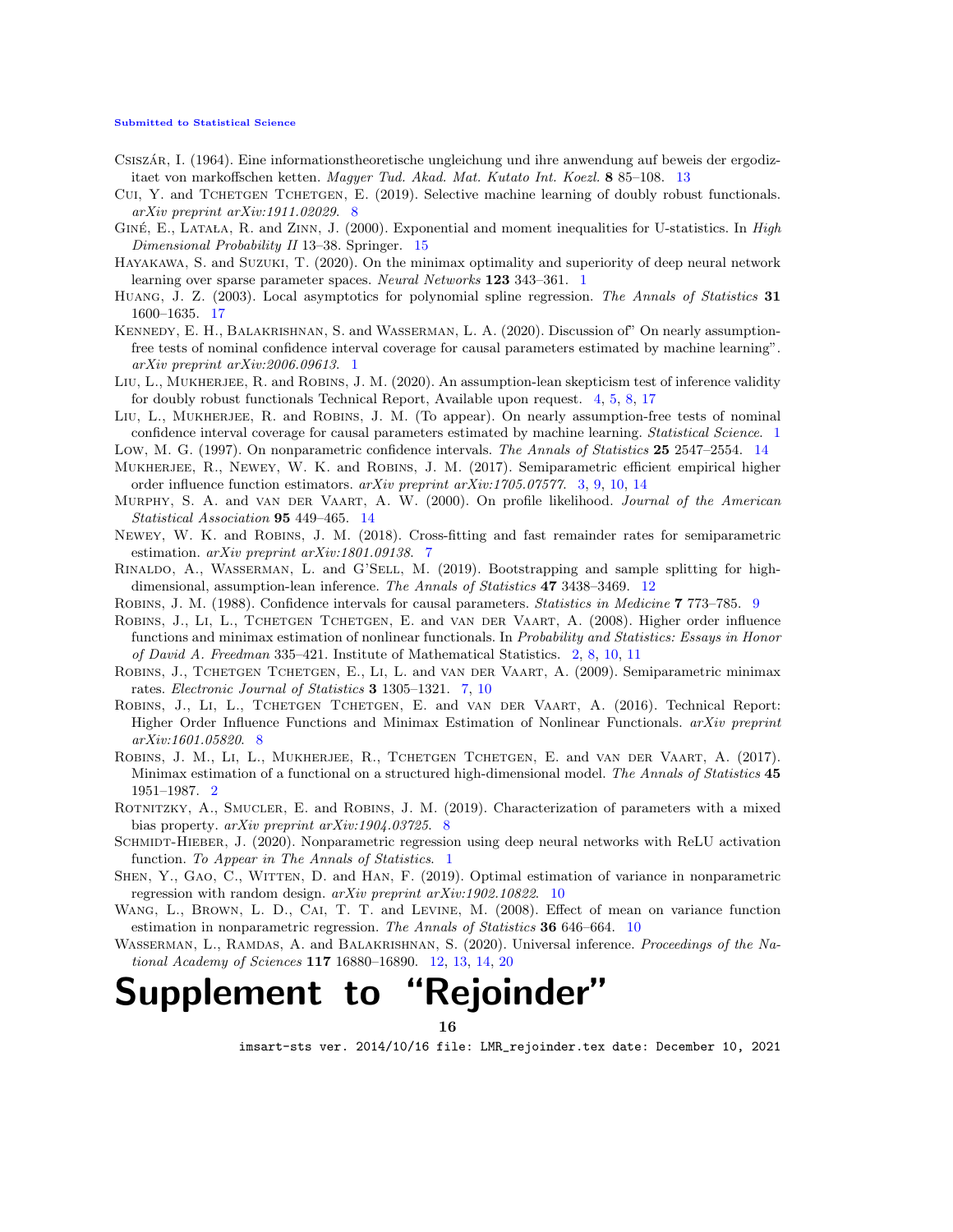#### [Submitted to Statistical Science](http://www.imstat.org/sts/)

- <span id="page-15-18"></span>Csiszár, I. (1964). Eine informationstheoretische ungleichung und ihre anwendung auf beweis der ergodizitaet von markoffschen ketten. Magyer Tud. Akad. Mat. Kutato Int. Koezl. 8 85–108. [13](#page-12-1)
- <span id="page-15-10"></span>CUI, Y. and TCHETGEN TCHETGEN, E. (2019). Selective machine learning of doubly robust functionals. arXiv preprint arXiv:1911.02029. [8](#page-7-2)
- <span id="page-15-21"></span>GINÉ, E., LATALA, R. and ZINN, J. (2000). Exponential and moment inequalities for U-statistics. In High Dimensional Probability II 13–38. Springer. [15](#page-14-6)
- <span id="page-15-3"></span>Hayakawa, S. and Suzuki, T. (2020). On the minimax optimality and superiority of deep neural network learning over sparse parameter spaces. Neural Networks 123 343–361. [1](#page-0-4)
- <span id="page-15-22"></span>HUANG, J. Z. (2003). Local asymptotics for polynomial spline regression. The Annals of Statistics 31 1600–1635. [17](#page-16-2)
- <span id="page-15-0"></span>Kennedy, E. H., Balakrishnan, S. and Wasserman, L. A. (2020). Discussion of" On nearly assumptionfree tests of nominal confidence interval coverage for causal parameters estimated by machine learning". arXiv preprint arXiv:2006.09613. [1](#page-0-4)
- <span id="page-15-7"></span>LIU, L., MUKHERJEE, R. and ROBINS, J. M. (2020). An assumption-lean skepticism test of inference validity for doubly robust functionals Technical Report, Available upon request. [4,](#page-3-2) [5,](#page-4-4) [8,](#page-7-2) [17](#page-16-2)
- <span id="page-15-1"></span>LIU, L., MUKHERJEE, R. and ROBINS, J. M. (To appear). On nearly assumption-free tests of nominal confidence interval coverage for causal parameters estimated by machine learning. Statistical Science. [1](#page-0-4)
- <span id="page-15-20"></span>Low, M. G. (1997). On nonparametric confidence intervals. The Annals of Statistics 25 2547-2554. [14](#page-13-4)
- <span id="page-15-6"></span>Mukherjee, R., Newey, W. K. and Robins, J. M. (2017). Semiparametric efficient empirical higher order influence function estimators.  $arXiv$  preprint  $arXiv:1705.07577$ . [3,](#page-2-2) [9,](#page-8-0) [10,](#page-9-2) [14](#page-13-4)
- <span id="page-15-19"></span>MURPHY, S. A. and VAN DER VAART, A. W. (2000). On profile likelihood. Journal of the American Statistical Association 95 449–465. [14](#page-13-4)
- <span id="page-15-8"></span>Newey, W. K. and Robins, J. M. (2018). Cross-fitting and fast remainder rates for semiparametric estimation. arXiv preprint arXiv:1801.09138. [7](#page-6-1)
- <span id="page-15-17"></span>Rinaldo, A., Wasserman, L. and G'Sell, M. (2019). Bootstrapping and sample splitting for highdimensional, assumption-lean inference. The Annals of Statistics 47 3438–3469. [12](#page-11-2)
- <span id="page-15-13"></span>ROBINS, J. M. (1[9](#page-8-0)88). Confidence intervals for causal parameters. Statistics in Medicine 7 773–785. 9
- <span id="page-15-4"></span>ROBINS, J., LI, L., TCHETGEN TCHETGEN, E. and VAN DER VAART, A. (2008). Higher order influence functions and minimax estimation of nonlinear functionals. In Probability and Statistics: Essays in Honor of David A. Freedman 335–421. Institute of Mathematical Statistics. [2,](#page-1-1) [8,](#page-7-2) [10,](#page-9-2) [11](#page-10-1)
- <span id="page-15-9"></span>Robins, J., Tchetgen Tchetgen, E., Li, L. and van der Vaart, A. (2009). Semiparametric minimax rates. Electronic Journal of Statistics 3 1305–1321. [7,](#page-6-1) [10](#page-9-2)
- <span id="page-15-11"></span>Robins, J., Li, L., Tchetgen Tchetgen, E. and van der Vaart, A. (2016). Technical Report: Higher Order Influence Functions and Minimax Estimation of Nonlinear Functionals. arXiv preprint arXiv:1601.05820. [8](#page-7-2)
- <span id="page-15-5"></span>Robins, J. M., Li, L., Mukherjee, R., Tchetgen Tchetgen, E. and van der Vaart, A. (2017). Minimax estimation of a functional on a structured high-dimensional model. The Annals of Statistics 45 1951–1987. [2](#page-1-1)
- <span id="page-15-12"></span>ROTNITZKY, A., SMUCLER, E. and ROBINS, J. M. (2019). Characterization of parameters with a mixed bias property. *arXiv preprint arXiv:1904.03725*. [8](#page-7-2)
- <span id="page-15-2"></span>SCHMIDT-HIEBER, J. (2020). Nonparametric regression using deep neural networks with ReLU activation function. To Appear in The Annals of Statistics. [1](#page-0-4)
- <span id="page-15-15"></span>SHEN, Y., GAO, C., WITTEN, D. and HAN, F. (2019). Optimal estimation of variance in nonparametric regression with random design.  $arXiv$  preprint  $arXiv:1902.10822$  $arXiv:1902.10822$  $arXiv:1902.10822$ . 10
- <span id="page-15-14"></span>WANG, L., BROWN, L. D., CAI, T. T. and LEVINE, M. (2008). Effect of mean on variance function estimation in nonparametric regression. The Annals of Statistics  $36\,646-664$ . [10](#page-9-2)
- <span id="page-15-16"></span>WASSERMAN, L., RAMDAS, A. and BALAKRISHNAN, S. (2020). Universal inference. Proceedings of the National Academy of Sciences 117 16880–16890. [12,](#page-11-2) [13,](#page-12-1) [14,](#page-13-4) [20](#page-19-2)

# Supplement to "Rejoinder"

16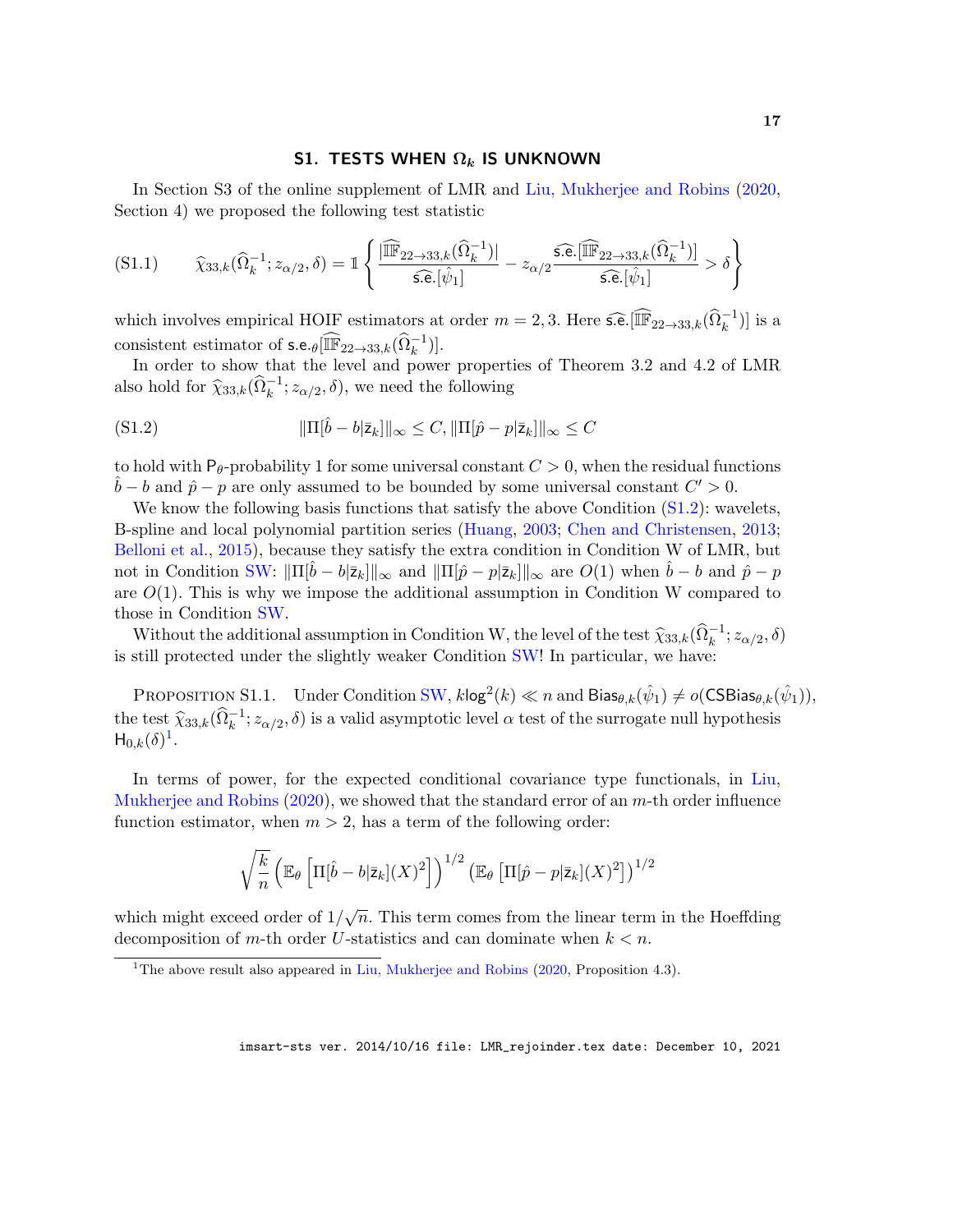## S1. TESTS WHEN  $\Omega_k$  IS UNKNOWN

<span id="page-16-2"></span>In Section S3 of the online supplement of LMR and [Liu, Mukherjee and Robins](#page-15-7) [\(2020,](#page-15-7) Section 4) we proposed the following test statistic

<span id="page-16-0"></span>
$$
(S1.1) \qquad \widehat{\chi}_{33,k}(\widehat{\Omega}_k^{-1}; z_{\alpha/2}, \delta) = \mathbb{1} \left\{ \frac{|\widehat{\mathbb{IF}}_{22 \to 33,k}(\widehat{\Omega}_k^{-1})|}{\widehat{\mathsf{s.e.}}[\widehat{\psi}_1]} - z_{\alpha/2} \frac{\widehat{\mathsf{s.e.}}[\widehat{\mathbb{IF}}_{22 \to 33,k}(\widehat{\Omega}_k^{-1})]}{\widehat{\mathsf{s.e.}}[\widehat{\psi}_1]} > \delta \right\}
$$

which involves empirical HOIF estimators at order  $m = 2, 3$ . Here  $\widehat{\mathfrak{se}}$ .  $[\widehat{\mathbb{IF}}_{22 \to 33,k}(\widehat{\Omega}_k^{-1})]$  is a consistent estimator of  $\mathsf{s.e.}_{\theta}[\widehat{\mathbb{IF}}_{22\to 33,k}(\widehat{\Omega}_k^{-1})].$ 

In order to show that the level and power properties of Theorem 3.2 and 4.2 of LMR also hold for  $\widehat{\chi}_{33,k}(\widehat{\Omega}_k^{-1}; z_{\alpha/2}, \delta)$ , we need the following

<span id="page-16-3"></span>(S1.2) 
$$
\|\Pi[\hat{b} - b|\overline{z}_k]\|_{\infty} \leq C, \|\Pi[\hat{p} - p|\overline{z}_k]\|_{\infty} \leq C
$$

to hold with P<sub>θ</sub>-probability 1 for some universal constant  $C > 0$ , when the residual functions  $\hat{b} - b$  and  $\hat{p} - p$  are only assumed to be bounded by some universal constant  $C' > 0$ .

We know the following basis functions that satisfy the above Condition  $(S1.2)$ : wavelets, B-spline and local polynomial partition series [\(Huang,](#page-15-22) [2003;](#page-15-22) [Chen and Christensen,](#page-14-7) [2013;](#page-14-7) [Belloni et al.,](#page-14-1) [2015\)](#page-14-1), because they satisfy the extra condition in Condition W of LMR, but not in Condition [SW:](#page-3-1)  $\|\Pi[b-b|\bar{z}_k]\|_{\infty}$  and  $\|\Pi[\hat{p}-p|\bar{z}_k]\|_{\infty}$  are  $O(1)$  when  $b-b$  and  $\hat{p}-p$ are  $O(1)$ . This is why we impose the additional assumption in Condition W compared to those in Condition [SW.](#page-3-1)

Without the additional assumption in Condition W, the level of the test  $\hat{\chi}_{33,k}(\hat{\Omega}_k^{-1}; z_{\alpha/2}, \delta)$ is still protected under the slightly weaker Condition [SW!](#page-3-1) In particular, we have:

<span id="page-16-1"></span>PROPOSITION S1.1. Under Condition [SW,](#page-3-1)  $k\log^2(k) \ll n$  and  $\textsf{Bias}_{\theta,k}(\hat{\psi}_1) \neq o(\textsf{CSBias}_{\theta,k}(\hat{\psi}_1)),$ the test  $\hat{\chi}_{33,k}(\hat{\Omega}_k^{-1}; z_{\alpha/2}, \delta)$  is a valid asymptotic level  $\alpha$  test of the surrogate null hypothesis  $H_{0,k}(\delta)^1$  $H_{0,k}(\delta)^1$ .

In terms of power, for the expected conditional covariance type functionals, in [Liu,](#page-15-7) [Mukherjee and Robins](#page-15-7)  $(2020)$ , we showed that the standard error of an m-th order influence function estimator, when  $m > 2$ , has a term of the following order:

$$
\sqrt{\frac{k}{n}} \left( \mathbb{E}_{\theta} \left[ \Pi[\hat{b} - b|\bar{z}_k](X)^2 \right] \right)^{1/2} \left( \mathbb{E}_{\theta} \left[ \Pi[\hat{p} - p|\bar{z}_k](X)^2 \right] \right)^{1/2}
$$

which might exceed order of  $1/\sqrt{n}$ . This term comes from the linear term in the Hoeffding decomposition of m-th order U-statistics and can dominate when  $k < n$ .

<span id="page-16-4"></span><sup>&</sup>lt;sup>1</sup>The above result also appeared in [Liu, Mukherjee and Robins](#page-15-7) [\(2020,](#page-15-7) Proposition 4.3).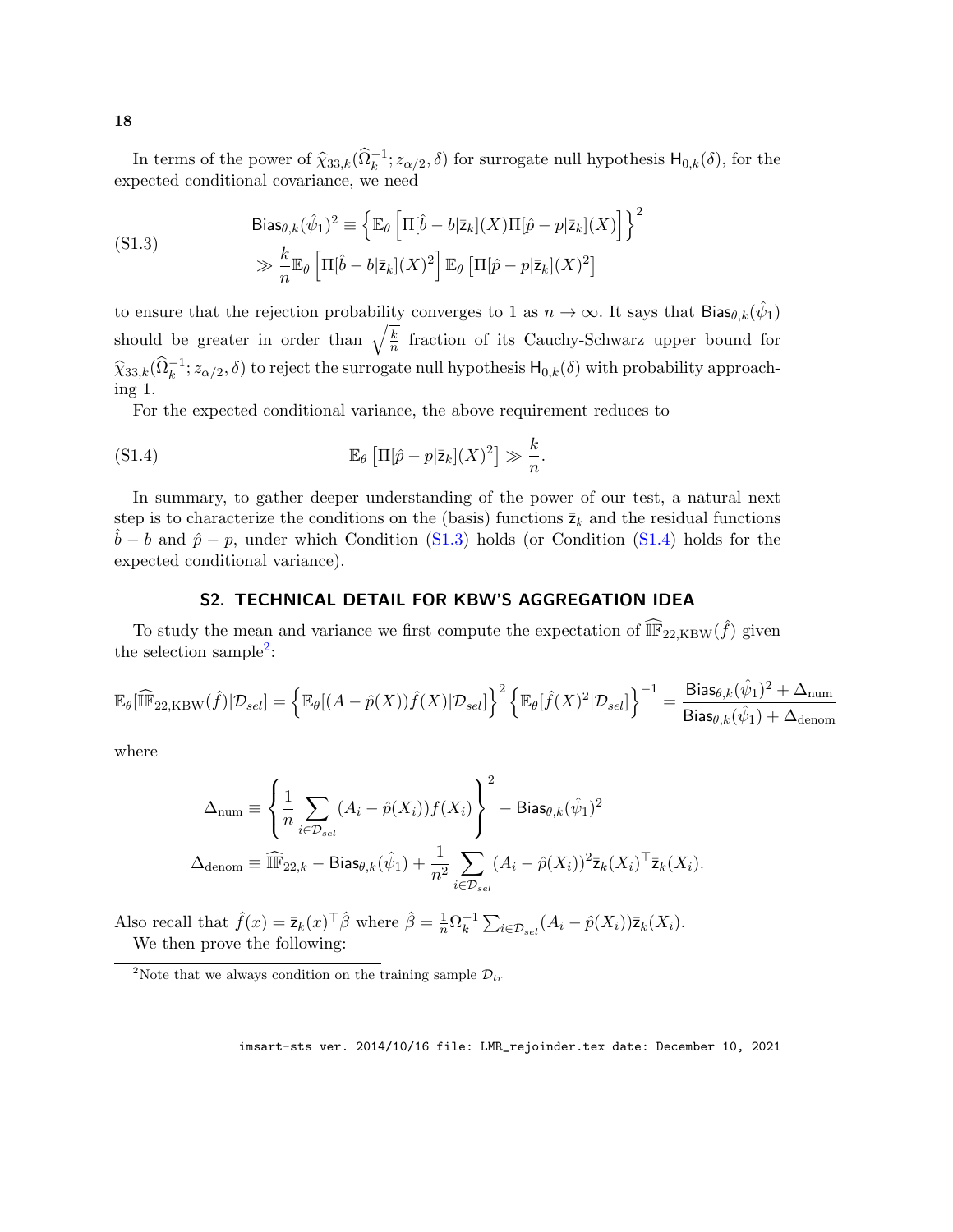In terms of the power of  $\hat{\chi}_{33,k}(\hat{\Omega}_{k}^{-1}; z_{\alpha/2}, \delta)$  for surrogate null hypothesis  $H_{0,k}(\delta)$ , for the expected conditional covariance, we need

<span id="page-17-0"></span>(S1.3)  
\n
$$
\text{Bias}_{\theta,k}(\hat{\psi}_1)^2 \equiv \left\{ \mathbb{E}_{\theta} \left[ \Pi[\hat{b} - b|\bar{z}_k](X) \Pi[\hat{p} - p|\bar{z}_k](X) \right] \right\}^2
$$
\n
$$
\gg \frac{k}{n} \mathbb{E}_{\theta} \left[ \Pi[\hat{b} - b|\bar{z}_k](X)^2 \right] \mathbb{E}_{\theta} \left[ \Pi[\hat{p} - p|\bar{z}_k](X)^2 \right]
$$

to ensure that the rejection probability converges to 1 as  $n \to \infty$ . It says that  $\text{Bias}_{\theta,k}(\hat{\psi}_1)$ should be greater in order than  $\sqrt{\frac{k}{n}}$  $\frac{k}{n}$  fraction of its Cauchy-Schwarz upper bound for  $\hat{\chi}_{33,k}(\hat{\Omega}_k^{-1}; z_{\alpha/2}, \delta)$  to reject the surrogate null hypothesis  $H_{0,k}(\delta)$  with probability approaching 1.

For the expected conditional variance, the above requirement reduces to

(S1.4) 
$$
\mathbb{E}_{\theta}\left[\Pi[\hat{p}-p|\bar{\mathsf{z}}_k](X)^2\right] \gg \frac{k}{n}.
$$

In summary, to gather deeper understanding of the power of our test, a natural next step is to characterize the conditions on the (basis) functions  $\bar{z}_k$  and the residual functions  $\hat{b} - b$  and  $\hat{p} - p$ , under which Condition [\(S1.3\)](#page-17-0) holds (or Condition [\(S1.4\)](#page-17-1) holds for the expected conditional variance).

## <span id="page-17-1"></span>S2. TECHNICAL DETAIL FOR KBW'S AGGREGATION IDEA

To study the mean and variance we first compute the expectation of  $\widehat{\mathbb{F}}_{22,KBW}(\hat{f})$  given the selection sample<sup>[2](#page-17-2)</sup>:

$$
\mathbb{E}_{\theta}[\widehat{\mathbb{IF}}_{22,\text{KBW}}(\hat{f})|\mathcal{D}_{sel}] = \left\{\mathbb{E}_{\theta}[(A-\hat{p}(X))\hat{f}(X)|\mathcal{D}_{sel}]\right\}^{2} \left\{\mathbb{E}_{\theta}[\hat{f}(X)^{2}|\mathcal{D}_{sel}]\right\}^{-1} = \frac{\text{Bias}_{\theta,k}(\hat{\psi}_{1})^{2} + \Delta_{\text{num}}}{\text{Bias}_{\theta,k}(\hat{\psi}_{1}) + \Delta_{\text{denom}}}
$$

where

$$
\Delta_{\text{num}} \equiv \left\{ \frac{1}{n} \sum_{i \in \mathcal{D}_{sel}} (A_i - \hat{p}(X_i)) f(X_i) \right\}^2 - \text{Bias}_{\theta, k}(\hat{\psi}_1)^2
$$
  

$$
\Delta_{\text{denom}} \equiv \widehat{\mathbb{IF}}_{22,k} - \text{Bias}_{\theta, k}(\hat{\psi}_1) + \frac{1}{n^2} \sum_{i \in \mathcal{D}_{sel}} (A_i - \hat{p}(X_i))^2 \bar{z}_k(X_i)^\top \bar{z}_k(X_i).
$$

Also recall that  $\hat{f}(x) = \bar{z}_k(x)^\top \hat{\beta}$  where  $\hat{\beta} = \frac{1}{n} \Omega_k^{-1}$  $\sum_{i \in \mathcal{D}_{sel}}^{-1} (A_i - \hat{p}(X_i)) \bar{z}_k(X_i).$ We then prove the following:

<span id="page-17-2"></span><sup>&</sup>lt;sup>2</sup>Note that we always condition on the training sample  $\mathcal{D}_{tr}$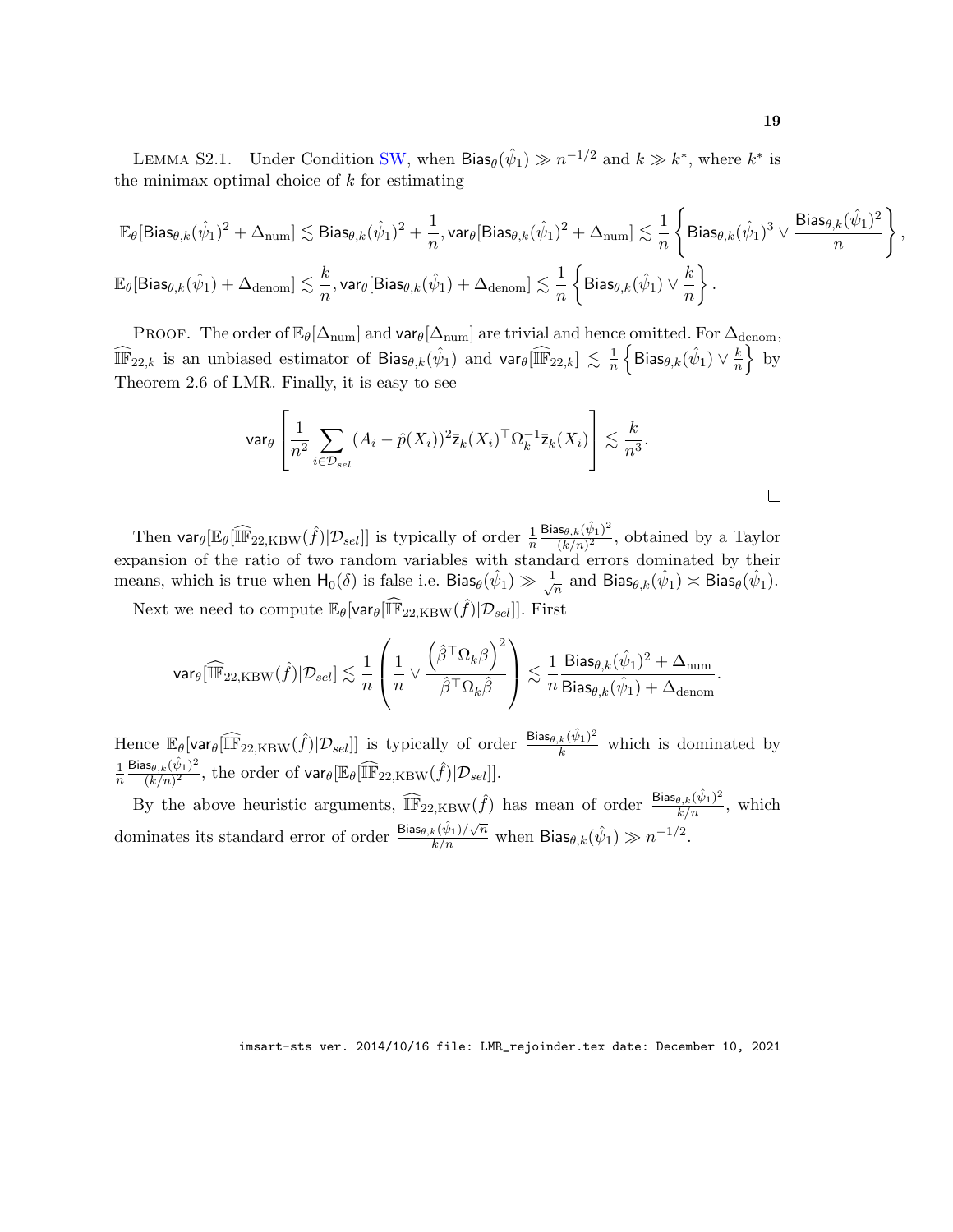LEMMA S2.1. Under Condition [SW,](#page-3-1) when Bias $\theta(\hat{\psi}_1) \gg n^{-1/2}$  and  $k \gg k^*$ , where  $k^*$  is the minimax optimal choice of  $k$  for estimating

$$
\begin{aligned} &\mathbb{E}_{\theta}[\text{Bias}_{\theta,k}(\hat{\psi}_1)^2+\Delta_{\text{num}}] \lesssim \text{Bias}_{\theta,k}(\hat{\psi}_1)^2+\frac{1}{n}, \text{var}_{\theta}[\text{Bias}_{\theta,k}(\hat{\psi}_1)^2+\Delta_{\text{num}}] \lesssim \frac{1}{n} \left\{\text{Bias}_{\theta,k}(\hat{\psi}_1)^3 \vee \frac{\text{Bias}_{\theta,k}(\hat{\psi}_1)^2}{n}\right\},\\ &\mathbb{E}_{\theta}[\text{Bias}_{\theta,k}(\hat{\psi}_1)+\Delta_{\text{denom}}] \lesssim \frac{k}{n}, \text{var}_{\theta}[\text{Bias}_{\theta,k}(\hat{\psi}_1)+\Delta_{\text{denom}}] \lesssim \frac{1}{n} \left\{\text{Bias}_{\theta,k}(\hat{\psi}_1) \vee \frac{k}{n}\right\}. \end{aligned}
$$

PROOF. The order of  $\mathbb{E}_{\theta}[\Delta_{\text{num}}]$  and var $_{\theta}[\Delta_{\text{num}}]$  are trivial and hence omitted. For  $\Delta_{\text{denom}}$ ,  $\widehat{\mathbb{IF}}_{22,k}$  is an unbiased estimator of Bias $\theta, k(\hat{\psi}_1)$  and  $\text{var}_{\theta}[\widehat{\mathbb{IF}}_{22,k}] \lesssim \frac{1}{n}$  $\frac{1}{n}\left\{\mathsf{Bias}_{\theta, k}(\hat{\psi}_1) \vee \frac{k}{n}\right\}$  $\frac{k}{n}$  by Theorem 2.6 of LMR. Finally, it is easy to see

$$
\text{var}_{\theta} \left[ \frac{1}{n^2} \sum_{i \in \mathcal{D}_{sel}} (A_i - \hat{p}(X_i))^2 \bar{z}_k(X_i)^\top \Omega_k^{-1} \bar{z}_k(X_i) \right] \lesssim \frac{k}{n^3}.
$$

Then  $\text{var}_{\theta}[\mathbb{F}_{22,KBW}(\hat{f})|\mathcal{D}_{sel}]]$  is typically of order  $\frac{1}{n}$  $\mathsf{Bias}_{\theta, k}(\hat{\psi}_1)^2$  $\frac{\text{d}s_{\theta,k}(\psi_1)}{(k/n)^2}$ , obtained by a Taylor expansion of the ratio of two random variables with standard errors dominated by their means, which is true when  $H_0(\delta)$  is false i.e. Bias $\theta(\hat{\psi}_1) \gg \frac{1}{\sqrt{\delta}}$  $\frac{1}{\overline{n}}$  and  $\textsf{Bias}_{\theta,k}(\hat{\psi}_1) \asymp \textsf{Bias}_{\theta}(\hat{\psi}_1).$ 

Next we need to compute  $\mathbb{E}_{\theta}[\text{var}_{\theta}[\widehat{\mathbb{IF}}_{22, \text{KBW}}(\hat{f}) | \mathcal{D}_{sel}]]$ . First

$$
\mathsf{var}_\theta[\widehat{\mathbb{IF}}_{22, \text{KBW}}(\hat{f}) | \mathcal{D}_{sel}] \lesssim \frac{1}{n} \left( \frac{1}{n} \vee \frac{\left( \hat{\beta}^\top \Omega_k \beta \right)^2}{\hat{\beta}^\top \Omega_k \hat{\beta}} \right) \lesssim \frac{1}{n} \frac{\mathsf{Bias}_{\theta, k}(\hat{\psi}_1)^2 + \Delta_{\text{num}}}{\mathsf{Bias}_{\theta, k}(\hat{\psi}_1) + \Delta_{\text{denom}}}.
$$

Hence  $\mathbb{E}_{\theta}[\text{var}_{\theta}[\widehat{\mathbb{IF}}_{22, \text{KBW}}(\hat{f}) | \mathcal{D}_{sel}]]$  is typically of order  $\frac{\text{Bias}_{\theta, k}(\hat{\psi}_{1})^{2}}{k}$  which is dominated by 1  $\overline{n}$  $\mathsf{Bias}_{\theta, k}(\hat{\psi}_1)^2$  $\frac{\text{d}s_{\theta,k}(\psi_1)^2}{(k/n)^2}$ , the order of  $\text{var}_{\theta}[\mathbb{IF}_{22,\text{KBW}}(\hat{f})|\mathcal{D}_{sel}]].$ 

By the above heuristic arguments,  $\widehat{\mathbb{IF}}_{22, \text{KBW}}(\hat{f})$  has mean of order  $\frac{\text{Bias}_{\theta, k}(\hat{\psi}_1)^2}{k/n}$ , which dominates its standard error of order  $\frac{\text{Bias}_{\theta,k}(\hat{\psi}_1)/\sqrt{n}}{k/n}$  when  $\text{Bias}_{\theta,k}(\hat{\psi}_1) \gg n^{-1/2}$ .

imsart-sts ver. 2014/10/16 file: LMR\_rejoinder.tex date: December 10, 2021

 $\Box$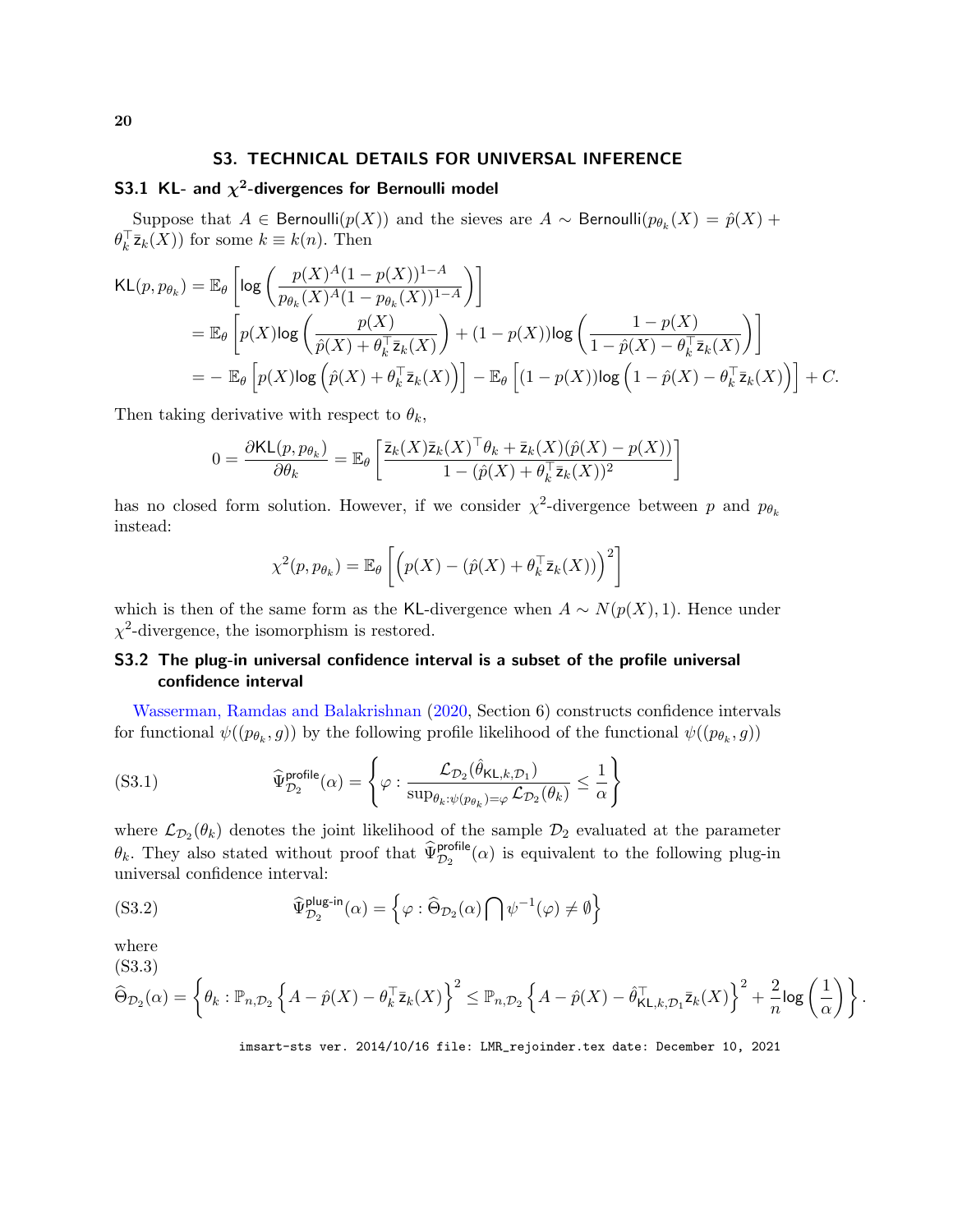## S3. TECHNICAL DETAILS FOR UNIVERSAL INFERENCE

## <span id="page-19-2"></span>S3.1 KL- and  $\chi^2$ -divergences for Bernoulli model

Suppose that  $A \in \mathsf{Bernoulli}(p(X))$  and the sieves are  $A \sim \mathsf{Bernoulli}(p_{\theta_k}(X) = \hat{p}(X) + \hat{p}(X)$  $\theta_k^{\top} \bar{z}_k(X)$  for some  $k \equiv k(n)$ . Then

$$
\begin{split} \textsf{KL}(p, p_{\theta_k}) &= \mathbb{E}_{\theta} \left[ \log \left( \frac{p(X)^A (1 - p(X))^{1 - A}}{p_{\theta_k}(X)^A (1 - p_{\theta_k}(X))^{1 - A}} \right) \right] \\ &= \mathbb{E}_{\theta} \left[ p(X) \log \left( \frac{p(X)}{\hat{p}(X) + \theta_k^{\top} \bar{\mathsf{z}}_k(X)} \right) + (1 - p(X)) \log \left( \frac{1 - p(X)}{1 - \hat{p}(X) - \theta_k^{\top} \bar{\mathsf{z}}_k(X)} \right) \right] \\ &= - \mathbb{E}_{\theta} \left[ p(X) \log \left( \hat{p}(X) + \theta_k^{\top} \bar{\mathsf{z}}_k(X) \right) \right] - \mathbb{E}_{\theta} \left[ (1 - p(X)) \log \left( 1 - \hat{p}(X) - \theta_k^{\top} \bar{\mathsf{z}}_k(X) \right) \right] + C. \end{split}
$$

Then taking derivative with respect to  $\theta_k$ ,

$$
0 = \frac{\partial \text{KL}(p, p_{\theta_k})}{\partial \theta_k} = \mathbb{E}_{\theta} \left[ \frac{\overline{z}_k(X)\overline{z}_k(X)^{\top}\theta_k + \overline{z}_k(X)(\hat{p}(X) - p(X))}{1 - (\hat{p}(X) + \theta_k^{\top}\overline{z}_k(X))^2} \right]
$$

has no closed form solution. However, if we consider  $\chi^2$ -divergence between p and  $p_{\theta_k}$ instead:

$$
\chi^2(p, p_{\theta_k}) = \mathbb{E}_{\theta} \left[ \left( p(X) - (\hat{p}(X) + \theta_k^{\top} \bar{z}_k(X)) \right)^2 \right]
$$

which is then of the same form as the KL-divergence when  $A \sim N(p(X), 1)$ . Hence under  $\chi^2$ -divergence, the isomorphism is restored.

## S3.2 The plug-in universal confidence interval is a subset of the profile universal confidence interval

[Wasserman, Ramdas and Balakrishnan](#page-15-16) [\(2020,](#page-15-16) Section 6) constructs confidence intervals for functional  $\psi((p_{\theta_k}, g))$  by the following profile likelihood of the functional  $\psi((p_{\theta_k}, g))$ 

$$
(S3.1) \qquad \qquad \widehat{\Psi}_{\mathcal{D}_2}^{\text{profile}}(\alpha) = \left\{ \varphi : \frac{\mathcal{L}_{\mathcal{D}_2}(\widehat{\theta}_{\mathsf{KL},k,\mathcal{D}_1})}{\sup_{\theta_k: \psi(p_{\theta_k}) = \varphi} \mathcal{L}_{\mathcal{D}_2}(\theta_k)} \le \frac{1}{\alpha} \right\}
$$

where  $\mathcal{L}_{\mathcal{D}_2}(\theta_k)$  denotes the joint likelihood of the sample  $\mathcal{D}_2$  evaluated at the parameter  $\theta_k$ . They also stated without proof that  $\widehat{\Psi}_{\mathcal{D}_2}^{\text{profile}}(\alpha)$  is equivalent to the following plug-in universal confidence interval:

<span id="page-19-1"></span>(S3.2) 
$$
\widehat{\Psi}_{\mathcal{D}_2}^{\text{plug-in}}(\alpha) = \left\{ \varphi : \widehat{\Theta}_{\mathcal{D}_2}(\alpha) \bigcap \psi^{-1}(\varphi) \neq \emptyset \right\}
$$

where

(S3.3)

<span id="page-19-0"></span>
$$
\widehat{\Theta}_{\mathcal{D}_2}(\alpha) = \left\{ \theta_k : \mathbb{P}_{n,\mathcal{D}_2} \left\{ A - \hat{p}(X) - \theta_k^{\top} \bar{z}_k(X) \right\}^2 \leq \mathbb{P}_{n,\mathcal{D}_2} \left\{ A - \hat{p}(X) - \hat{\theta}_{\mathsf{KL},k,\mathcal{D}_1}^{\top} \bar{z}_k(X) \right\}^2 + \frac{2}{n} \log \left( \frac{1}{\alpha} \right) \right\}.
$$